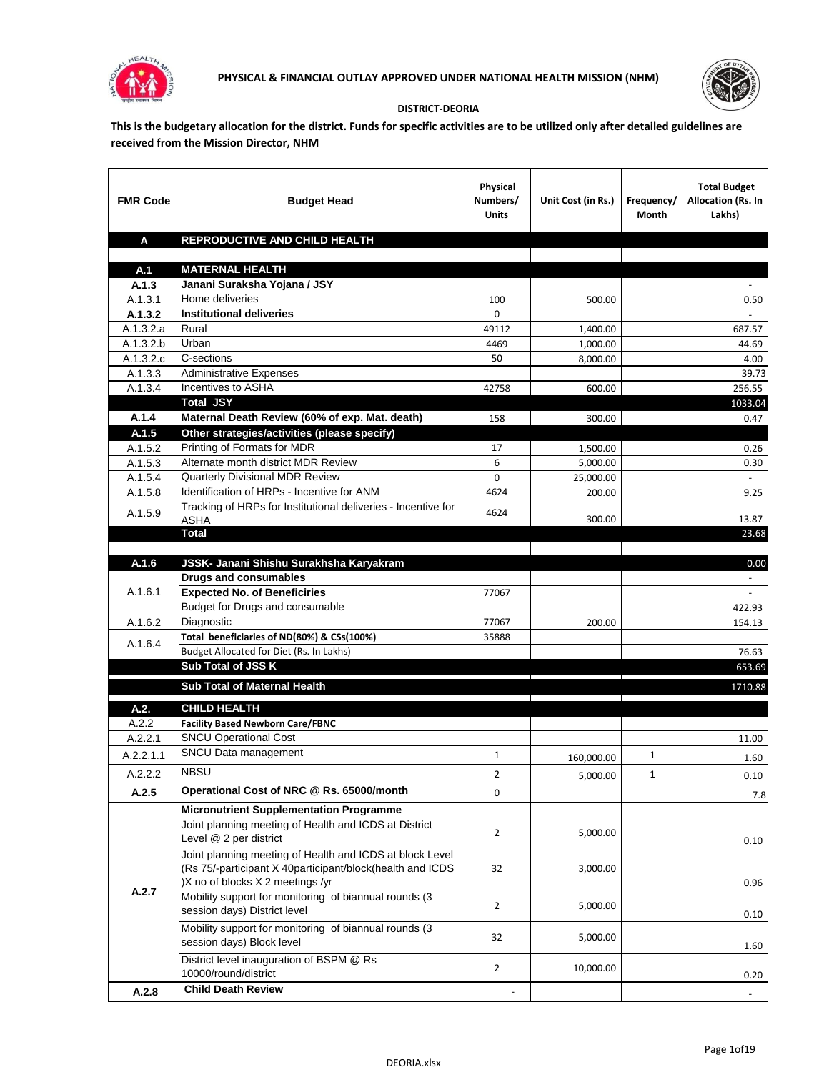



## **DISTRICT-DEORIA**

**This is the budgetary allocation for the district. Funds for specific activities are to be utilized only after detailed guidelines are received from the Mission Director, NHM**

| <b>FMR Code</b>    | <b>Budget Head</b>                                                                                                                                        | Physical<br>Numbers/<br><b>Units</b> | Unit Cost (in Rs.) | Frequency/<br><b>Month</b> | <b>Total Budget</b><br>Allocation (Rs. In<br>Lakhs) |
|--------------------|-----------------------------------------------------------------------------------------------------------------------------------------------------------|--------------------------------------|--------------------|----------------------------|-----------------------------------------------------|
| A                  | REPRODUCTIVE AND CHILD HEALTH                                                                                                                             |                                      |                    |                            |                                                     |
|                    |                                                                                                                                                           |                                      |                    |                            |                                                     |
| A.1                | <b>MATERNAL HEALTH</b>                                                                                                                                    |                                      |                    |                            |                                                     |
| A.1.3              | Janani Suraksha Yojana / JSY<br>Home deliveries                                                                                                           |                                      |                    |                            |                                                     |
| A.1.3.1<br>A.1.3.2 | <b>Institutional deliveries</b>                                                                                                                           | 100<br>$\Omega$                      | 500.00             |                            | 0.50                                                |
| A.1.3.2.a          | Rural                                                                                                                                                     | 49112                                | 1,400.00           |                            | 687.57                                              |
| A.1.3.2.b          | Urban                                                                                                                                                     | 4469                                 | 1,000.00           |                            | 44.69                                               |
| A.1.3.2.c          | C-sections                                                                                                                                                | 50                                   | 8,000.00           |                            | 4.00                                                |
| A.1.3.3            | <b>Administrative Expenses</b>                                                                                                                            |                                      |                    |                            | 39.73                                               |
| A.1.3.4            | Incentives to ASHA                                                                                                                                        | 42758                                | 600.00             |                            | 256.55                                              |
|                    | <b>Total JSY</b>                                                                                                                                          |                                      |                    |                            | 1033.04                                             |
| A.1.4              | Maternal Death Review (60% of exp. Mat. death)                                                                                                            | 158                                  | 300.00             |                            | 0.47                                                |
| A.1.5              | Other strategies/activities (please specify)                                                                                                              |                                      |                    |                            |                                                     |
| A.1.5.2            | Printing of Formats for MDR                                                                                                                               | 17                                   | 1,500.00           |                            | 0.26                                                |
| A.1.5.3            | Alternate month district MDR Review                                                                                                                       | 6                                    | 5,000.00           |                            | 0.30                                                |
| A.1.5.4            | <b>Quarterly Divisional MDR Review</b>                                                                                                                    | $\Omega$                             | 25,000.00          |                            |                                                     |
| A.1.5.8            | Identification of HRPs - Incentive for ANM                                                                                                                | 4624                                 | 200.00             |                            | 9.25                                                |
| A.1.5.9            | Tracking of HRPs for Institutional deliveries - Incentive for<br>ASHA                                                                                     | 4624                                 | 300.00             |                            | 13.87                                               |
|                    | <b>Total</b>                                                                                                                                              |                                      |                    |                            | 23.68                                               |
|                    |                                                                                                                                                           |                                      |                    |                            |                                                     |
| A.1.6              | JSSK- Janani Shishu Surakhsha Karyakram                                                                                                                   |                                      |                    |                            | 0.00                                                |
|                    | <b>Drugs and consumables</b>                                                                                                                              |                                      |                    |                            |                                                     |
| A.1.6.1            | <b>Expected No. of Beneficiries</b>                                                                                                                       | 77067                                |                    |                            |                                                     |
|                    | Budget for Drugs and consumable                                                                                                                           |                                      |                    |                            | 422.93                                              |
| A.1.6.2            | Diagnostic                                                                                                                                                | 77067                                | 200.00             |                            | 154.13                                              |
| A.1.6.4            | Total beneficiaries of ND(80%) & CSs(100%)                                                                                                                | 35888                                |                    |                            |                                                     |
|                    | Budget Allocated for Diet (Rs. In Lakhs)<br>Sub Total of JSS K                                                                                            |                                      |                    |                            | 76.63<br>653.69                                     |
|                    |                                                                                                                                                           |                                      |                    |                            |                                                     |
|                    | Sub Total of Maternal Health                                                                                                                              |                                      |                    |                            | 1710.88                                             |
| A.2.               | <b>CHILD HEALTH</b>                                                                                                                                       |                                      |                    |                            |                                                     |
| A.2.2              | <b>Facility Based Newborn Care/FBNC</b>                                                                                                                   |                                      |                    |                            |                                                     |
| A.2.2.1            | <b>SNCU Operational Cost</b>                                                                                                                              |                                      |                    |                            | 11.00                                               |
| A.2.2.1.1          | SNCU Data management                                                                                                                                      | $\mathbf{1}$                         | 160,000.00         | 1                          | 1.60                                                |
| A.2.2.2            | <b>NBSU</b>                                                                                                                                               | 2                                    | 5,000.00           | 1                          | 0.10                                                |
| A.2.5              | Operational Cost of NRC @ Rs. 65000/month                                                                                                                 | 0                                    |                    |                            | 7.8                                                 |
|                    | <b>Micronutrient Supplementation Programme</b>                                                                                                            |                                      |                    |                            |                                                     |
|                    | Joint planning meeting of Health and ICDS at District<br>Level @ 2 per district                                                                           | $\overline{2}$                       | 5,000.00           |                            | 0.10                                                |
|                    | Joint planning meeting of Health and ICDS at block Level<br>(Rs 75/-participant X 40participant/block(health and ICDS<br>)X no of blocks X 2 meetings /yr | 32                                   | 3,000.00           |                            | 0.96                                                |
| A.2.7              | Mobility support for monitoring of biannual rounds (3<br>session days) District level                                                                     | $\overline{2}$                       | 5,000.00           |                            | 0.10                                                |
|                    | Mobility support for monitoring of biannual rounds (3<br>session days) Block level                                                                        | 32                                   | 5,000.00           |                            | 1.60                                                |
|                    | District level inauguration of BSPM @ Rs<br>10000/round/district                                                                                          | 2                                    | 10,000.00          |                            | 0.20                                                |
| A.2.8              | <b>Child Death Review</b>                                                                                                                                 |                                      |                    |                            | $\blacksquare$                                      |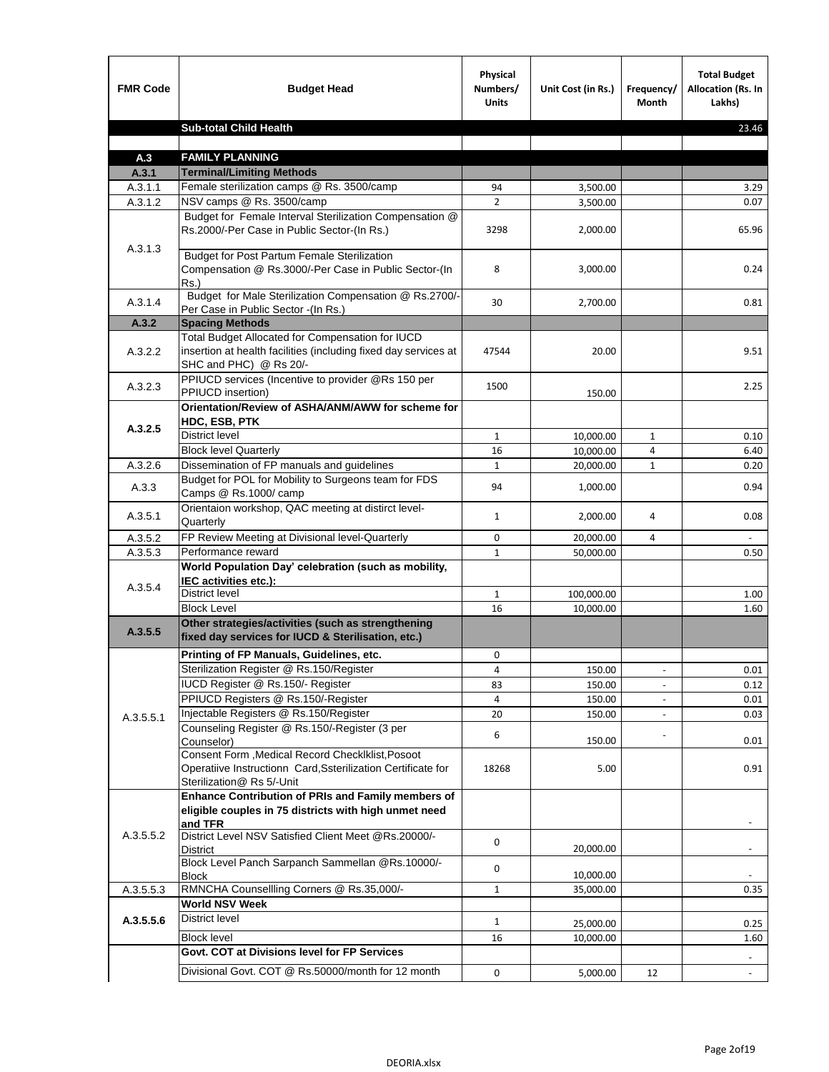| <b>FMR Code</b>  | <b>Budget Head</b>                                                                                                                            | Physical<br>Numbers/<br><b>Units</b> | Unit Cost (in Rs.)   | Frequency/<br><b>Month</b> | <b>Total Budget</b><br><b>Allocation (Rs. In</b><br>Lakhs) |
|------------------|-----------------------------------------------------------------------------------------------------------------------------------------------|--------------------------------------|----------------------|----------------------------|------------------------------------------------------------|
|                  | <b>Sub-total Child Health</b>                                                                                                                 |                                      |                      |                            | 23.46                                                      |
|                  |                                                                                                                                               |                                      |                      |                            |                                                            |
| A.3              | <b>FAMILY PLANNING</b>                                                                                                                        |                                      |                      |                            |                                                            |
| A.3.1<br>A.3.1.1 | <b>Terminal/Limiting Methods</b><br>Female sterilization camps @ Rs. 3500/camp                                                                | 94                                   |                      |                            | 3.29                                                       |
| A.3.1.2          | NSV camps @ Rs. 3500/camp                                                                                                                     | $\overline{2}$                       | 3,500.00<br>3,500.00 |                            | 0.07                                                       |
|                  | Budget for Female Interval Sterilization Compensation @                                                                                       |                                      |                      |                            |                                                            |
| A.3.1.3          | Rs.2000/-Per Case in Public Sector-(In Rs.)                                                                                                   | 3298                                 | 2,000.00             |                            | 65.96                                                      |
|                  | <b>Budget for Post Partum Female Sterilization</b><br>Compensation @ Rs.3000/-Per Case in Public Sector-(In<br>$Rs.$ )                        | 8                                    | 3,000.00             |                            | 0.24                                                       |
| A.3.1.4          | Budget for Male Sterilization Compensation @ Rs.2700/-<br>Per Case in Public Sector -(In Rs.)                                                 | 30                                   | 2,700.00             |                            | 0.81                                                       |
| A.3.2            | <b>Spacing Methods</b>                                                                                                                        |                                      |                      |                            |                                                            |
| A.3.2.2          | Total Budget Allocated for Compensation for IUCD<br>insertion at health facilities (including fixed day services at<br>SHC and PHC) @ Rs 20/- | 47544                                | 20.00                |                            | 9.51                                                       |
| A.3.2.3          | PPIUCD services (Incentive to provider @Rs 150 per<br>PPIUCD insertion)                                                                       | 1500                                 | 150.00               |                            | 2.25                                                       |
|                  | Orientation/Review of ASHA/ANM/AWW for scheme for<br><b>HDC, ESB, PTK</b>                                                                     |                                      |                      |                            |                                                            |
| A.3.2.5          | <b>District level</b>                                                                                                                         | $\mathbf{1}$                         | 10,000.00            | $\mathbf{1}$               | 0.10                                                       |
|                  | <b>Block level Quarterly</b>                                                                                                                  | 16                                   | 10,000.00            | 4                          | 6.40                                                       |
| A.3.2.6          | Dissemination of FP manuals and guidelines                                                                                                    | $\mathbf{1}$                         | 20,000.00            | $\mathbf{1}$               | 0.20                                                       |
| A.3.3            | Budget for POL for Mobility to Surgeons team for FDS<br>Camps @ Rs.1000/ camp                                                                 | 94                                   | 1,000.00             |                            | 0.94                                                       |
| A.3.5.1          | Orientaion workshop, QAC meeting at distirct level-<br>Quarterly                                                                              | $\mathbf{1}$                         | 2,000.00             | 4                          | 0.08                                                       |
| A.3.5.2          | FP Review Meeting at Divisional level-Quarterly                                                                                               | 0                                    | 20,000.00            | 4                          |                                                            |
| A.3.5.3          | Performance reward                                                                                                                            | $\mathbf{1}$                         | 50,000.00            |                            | 0.50                                                       |
| A.3.5.4          | World Population Day' celebration (such as mobility,<br>IEC activities etc.):                                                                 |                                      |                      |                            |                                                            |
|                  | <b>District level</b>                                                                                                                         | $\mathbf{1}$                         | 100,000.00           |                            | 1.00                                                       |
|                  | <b>Block Level</b>                                                                                                                            | 16                                   | 10,000.00            |                            | 1.60                                                       |
| A.3.5.5          | Other strategies/activities (such as strengthening<br>fixed day services for IUCD & Sterilisation, etc.)                                      |                                      |                      |                            |                                                            |
|                  | Printing of FP Manuals, Guidelines, etc.                                                                                                      | 0                                    |                      |                            |                                                            |
|                  | Sterilization Register @ Rs.150/Register                                                                                                      | 4                                    | 150.00               | $\overline{\phantom{a}}$   | 0.01                                                       |
|                  | IUCD Register @ Rs.150/- Register                                                                                                             | 83                                   | 150.00               |                            | 0.12                                                       |
|                  | PPIUCD Registers @ Rs.150/-Register                                                                                                           | 4                                    | 150.00               |                            | 0.01                                                       |
| A.3.5.5.1        | Injectable Registers @ Rs.150/Register<br>Counseling Register @ Rs.150/-Register (3 per                                                       | 20                                   | 150.00               |                            | 0.03                                                       |
|                  | Counselor)<br>Consent Form , Medical Record CheckIklist, Posoot                                                                               | 6                                    | 150.00               |                            | 0.01                                                       |
|                  | Operatiive Instructionn Card, Ssterilization Certificate for<br>Sterilization@ Rs 5/-Unit                                                     | 18268                                | 5.00                 |                            | 0.91                                                       |
|                  | <b>Enhance Contribution of PRIs and Family members of</b><br>eligible couples in 75 districts with high unmet need<br>and TFR                 |                                      |                      |                            |                                                            |
| A.3.5.5.2        | District Level NSV Satisfied Client Meet @Rs.20000/-<br>District                                                                              | 0                                    | 20,000.00            |                            |                                                            |
|                  | Block Level Panch Sarpanch Sammellan @Rs.10000/-<br><b>Block</b>                                                                              | 0                                    | 10,000.00            |                            |                                                            |
| A.3.5.5.3        | RMNCHA Counsellling Corners @ Rs.35,000/-                                                                                                     | $\mathbf{1}$                         | 35,000.00            |                            | 0.35                                                       |
|                  | World NSV Week                                                                                                                                |                                      |                      |                            |                                                            |
| A.3.5.5.6        | District level                                                                                                                                | $\mathbf{1}$                         | 25,000.00            |                            | 0.25                                                       |
|                  | <b>Block level</b>                                                                                                                            | 16                                   | 10,000.00            |                            | 1.60                                                       |
|                  | Govt. COT at Divisions level for FP Services                                                                                                  |                                      |                      |                            |                                                            |
|                  | Divisional Govt. COT @ Rs.50000/month for 12 month                                                                                            | 0                                    | 5,000.00             | 12                         |                                                            |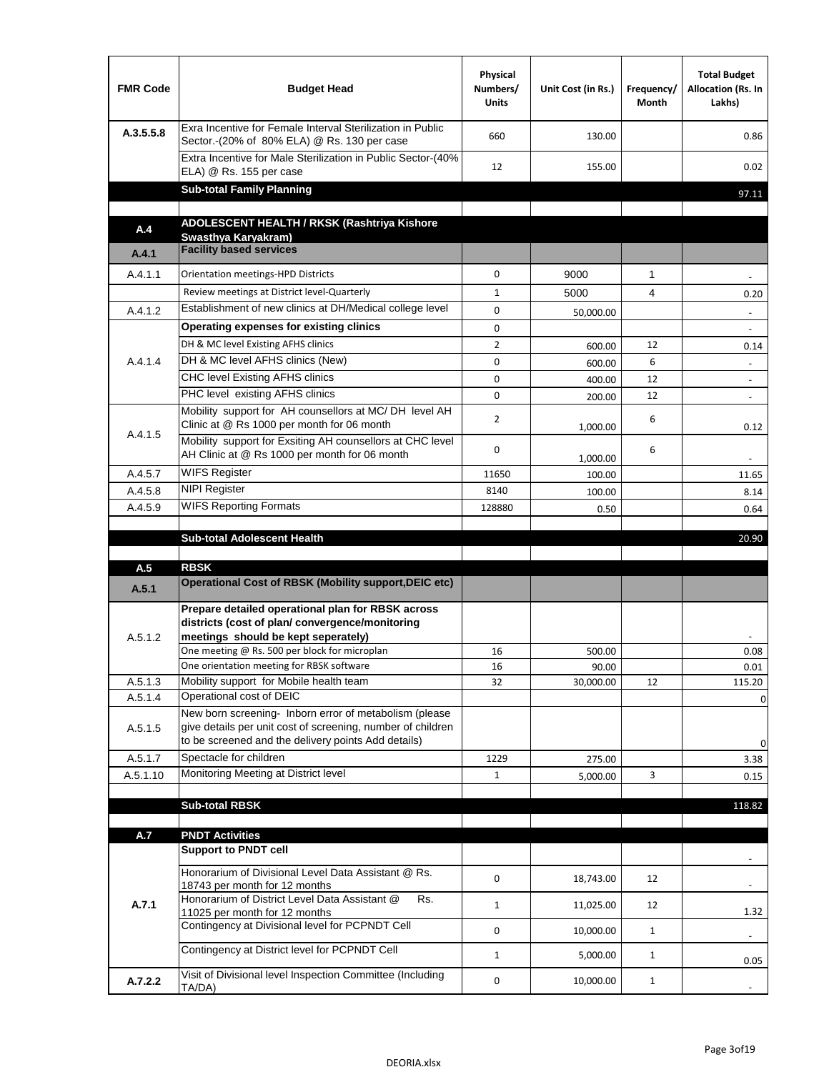| <b>FMR Code</b> | <b>Budget Head</b>                                                                                                                                                                           | Physical<br>Numbers/<br><b>Units</b> | Unit Cost (in Rs.) | Frequency/<br><b>Month</b> | <b>Total Budget</b><br>Allocation (Rs. In<br>Lakhs) |
|-----------------|----------------------------------------------------------------------------------------------------------------------------------------------------------------------------------------------|--------------------------------------|--------------------|----------------------------|-----------------------------------------------------|
| A.3.5.5.8       | Exra Incentive for Female Interval Sterilization in Public<br>Sector.-(20% of 80% ELA) @ Rs. 130 per case                                                                                    | 660                                  | 130.00             |                            | 0.86                                                |
|                 | Extra Incentive for Male Sterilization in Public Sector-(40%<br>ELA) @ Rs. 155 per case                                                                                                      | 12                                   | 155.00             |                            | 0.02                                                |
|                 | <b>Sub-total Family Planning</b>                                                                                                                                                             |                                      |                    |                            | 97.11                                               |
|                 | ADOLESCENT HEALTH / RKSK (Rashtriya Kishore                                                                                                                                                  |                                      |                    |                            |                                                     |
| A.4             | Swasthva Karvakram)                                                                                                                                                                          |                                      |                    |                            |                                                     |
| A.4.1           | <b>Facility based services</b>                                                                                                                                                               |                                      |                    |                            |                                                     |
| A.4.1.1         | Orientation meetings-HPD Districts                                                                                                                                                           | $\mathbf 0$                          | 9000               | $\mathbf{1}$               |                                                     |
|                 | Review meetings at District level-Quarterly                                                                                                                                                  | $\mathbf{1}$                         | 5000               | 4                          | 0.20                                                |
| A.4.1.2         | Establishment of new clinics at DH/Medical college level                                                                                                                                     | 0                                    | 50,000.00          |                            | $\overline{\phantom{a}}$                            |
|                 | <b>Operating expenses for existing clinics</b>                                                                                                                                               | 0                                    |                    |                            | $\blacksquare$                                      |
|                 | DH & MC level Existing AFHS clinics                                                                                                                                                          | $\overline{2}$                       | 600.00             | 12                         | 0.14                                                |
| A.4.1.4         | DH & MC level AFHS clinics (New)                                                                                                                                                             | 0                                    | 600.00             | 6                          |                                                     |
|                 | <b>CHC level Existing AFHS clinics</b>                                                                                                                                                       | 0                                    | 400.00             | 12                         |                                                     |
|                 | PHC level existing AFHS clinics                                                                                                                                                              | 0                                    | 200.00             | 12                         |                                                     |
| A.4.1.5         | Mobility support for AH counsellors at MC/DH level AH<br>Clinic at @ Rs 1000 per month for 06 month                                                                                          | $\overline{2}$                       | 1,000.00           | 6                          | 0.12                                                |
|                 | Mobility support for Exsiting AH counsellors at CHC level<br>AH Clinic at @ Rs 1000 per month for 06 month                                                                                   | 0                                    | 1,000.00           | 6                          |                                                     |
| A.4.5.7         | <b>WIFS Register</b>                                                                                                                                                                         | 11650                                | 100.00             |                            | 11.65                                               |
| A.4.5.8         | <b>NIPI Register</b>                                                                                                                                                                         | 8140                                 | 100.00             |                            | 8.14                                                |
| A.4.5.9         | <b>WIFS Reporting Formats</b>                                                                                                                                                                | 128880                               | 0.50               |                            | 0.64                                                |
|                 | <b>Sub-total Adolescent Health</b>                                                                                                                                                           |                                      |                    |                            | 20.90                                               |
| A.5             | <b>RBSK</b>                                                                                                                                                                                  |                                      |                    |                            |                                                     |
| A.5.1           | <b>Operational Cost of RBSK (Mobility support, DEIC etc)</b>                                                                                                                                 |                                      |                    |                            |                                                     |
| A.5.1.2         | Prepare detailed operational plan for RBSK across<br>districts (cost of plan/ convergence/monitoring<br>meetings should be kept seperately)<br>One meeting @ Rs. 500 per block for microplan | 16                                   | 500.00             |                            | 0.08                                                |
|                 | One orientation meeting for RBSK software                                                                                                                                                    | 16                                   | 90.00              |                            | 0.01                                                |
| A.5.1.3         | Mobility support for Mobile health team                                                                                                                                                      | 32                                   | 30,000.00          | 12                         | 115.20                                              |
| A.5.1.4         | Operational cost of DEIC                                                                                                                                                                     |                                      |                    |                            | 0                                                   |
| A.5.1.5         | New born screening- Inborn error of metabolism (please<br>give details per unit cost of screening, number of children<br>to be screened and the delivery points Add details)                 |                                      |                    |                            | 0                                                   |
| A.5.1.7         | Spectacle for children                                                                                                                                                                       | 1229                                 | 275.00             |                            | 3.38                                                |
| A.5.1.10        | Monitoring Meeting at District level                                                                                                                                                         | $\mathbf{1}$                         | 5,000.00           | 3                          | 0.15                                                |
|                 |                                                                                                                                                                                              |                                      |                    |                            |                                                     |
|                 | <b>Sub-total RBSK</b>                                                                                                                                                                        |                                      |                    |                            | 118.82                                              |
| A.7             | <b>PNDT Activities</b>                                                                                                                                                                       |                                      |                    |                            |                                                     |
|                 | <b>Support to PNDT cell</b>                                                                                                                                                                  |                                      |                    |                            |                                                     |
|                 | Honorarium of Divisional Level Data Assistant @ Rs.<br>18743 per month for 12 months                                                                                                         | 0                                    | 18,743.00          | 12                         |                                                     |
| A.7.1           | Honorarium of District Level Data Assistant @<br>Rs.<br>11025 per month for 12 months                                                                                                        | $\mathbf{1}$                         | 11,025.00          | 12                         | 1.32                                                |
|                 | Contingency at Divisional level for PCPNDT Cell                                                                                                                                              | 0                                    | 10,000.00          | $\mathbf{1}$               |                                                     |
|                 | Contingency at District level for PCPNDT Cell                                                                                                                                                | $\mathbf{1}$                         | 5,000.00           | $\mathbf{1}$               | 0.05                                                |
| A.7.2.2         | Visit of Divisional level Inspection Committee (Including<br>TA/DA)                                                                                                                          | 0                                    | 10,000.00          | $\mathbf{1}$               |                                                     |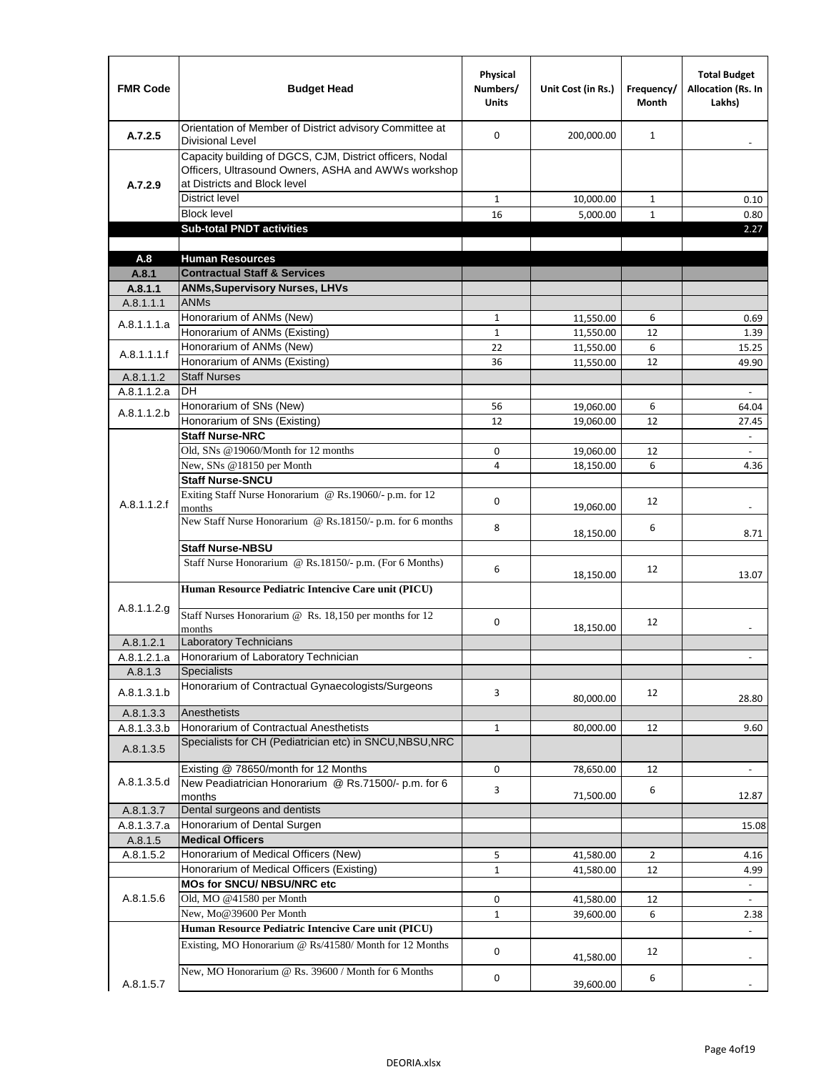| <b>FMR Code</b> | <b>Budget Head</b>                                                                                                                              | Physical<br>Numbers/<br><b>Units</b> | Unit Cost (in Rs.) | Frequency/<br><b>Month</b> | <b>Total Budget</b><br><b>Allocation (Rs. In</b><br>Lakhs) |
|-----------------|-------------------------------------------------------------------------------------------------------------------------------------------------|--------------------------------------|--------------------|----------------------------|------------------------------------------------------------|
| A.7.2.5         | Orientation of Member of District advisory Committee at<br><b>Divisional Level</b>                                                              | $\mathbf 0$                          | 200,000.00         | $\mathbf{1}$               | $\overline{\phantom{a}}$                                   |
| A.7.2.9         | Capacity building of DGCS, CJM, District officers, Nodal<br>Officers, Ultrasound Owners, ASHA and AWWs workshop<br>at Districts and Block level |                                      |                    |                            |                                                            |
|                 | <b>District level</b>                                                                                                                           | $\mathbf{1}$                         | 10,000.00          | $\mathbf{1}$               | 0.10                                                       |
|                 | <b>Block level</b>                                                                                                                              | 16                                   | 5,000.00           | $\mathbf{1}$               | 0.80                                                       |
|                 | <b>Sub-total PNDT activities</b>                                                                                                                |                                      |                    |                            | 2.27                                                       |
|                 |                                                                                                                                                 |                                      |                    |                            |                                                            |
| A.8             | <b>Human Resources</b>                                                                                                                          |                                      |                    |                            |                                                            |
| A.8.1           | <b>Contractual Staff &amp; Services</b>                                                                                                         |                                      |                    |                            |                                                            |
| A.8.1.1         | <b>ANMs, Supervisory Nurses, LHVs</b>                                                                                                           |                                      |                    |                            |                                                            |
| A.8.1.1.1       | <b>ANMs</b>                                                                                                                                     |                                      |                    |                            |                                                            |
| A.8.1.1.1.a     | Honorarium of ANMs (New)                                                                                                                        | $\mathbf{1}$                         | 11,550.00          | 6                          | 0.69                                                       |
|                 | Honorarium of ANMs (Existing)                                                                                                                   | $1\,$                                | 11,550.00          | 12                         | 1.39                                                       |
| A.8.1.1.1.f     | Honorarium of ANMs (New)                                                                                                                        | 22                                   | 11,550.00          | 6                          | 15.25                                                      |
|                 | Honorarium of ANMs (Existing)<br><b>Staff Nurses</b>                                                                                            | 36                                   | 11,550.00          | 12                         | 49.90                                                      |
| A.8.1.1.2       | DH.                                                                                                                                             |                                      |                    |                            |                                                            |
| A.8.1.1.2.a     | Honorarium of SNs (New)                                                                                                                         |                                      |                    |                            | $\omega$                                                   |
| A.8.1.1.2.b     |                                                                                                                                                 | 56                                   | 19,060.00          | 6                          | 64.04                                                      |
|                 | Honorarium of SNs (Existing)<br><b>Staff Nurse-NRC</b>                                                                                          | 12                                   | 19,060.00          | 12                         | 27.45                                                      |
|                 | Old, SNs @19060/Month for 12 months                                                                                                             | 0                                    |                    | 12                         | $\omega_{\rm c}$                                           |
|                 | New, SNs @18150 per Month                                                                                                                       | 4                                    | 19,060.00          | 6                          | $\blacksquare$<br>4.36                                     |
|                 | <b>Staff Nurse-SNCU</b>                                                                                                                         |                                      | 18,150.00          |                            |                                                            |
|                 | Exiting Staff Nurse Honorarium @ Rs.19060/- p.m. for 12                                                                                         |                                      |                    |                            |                                                            |
| A.8.1.1.2.f     | months                                                                                                                                          | $\mathbf 0$                          | 19,060.00          | 12                         | $\blacksquare$                                             |
|                 | New Staff Nurse Honorarium @ Rs.18150/- p.m. for 6 months                                                                                       |                                      |                    |                            |                                                            |
|                 |                                                                                                                                                 | 8                                    | 18,150.00          | 6                          | 8.71                                                       |
|                 | <b>Staff Nurse-NBSU</b>                                                                                                                         |                                      |                    |                            |                                                            |
|                 | Staff Nurse Honorarium @ Rs.18150/- p.m. (For 6 Months)                                                                                         | 6                                    |                    | 12                         |                                                            |
|                 |                                                                                                                                                 |                                      | 18,150.00          |                            | 13.07                                                      |
|                 | Human Resource Pediatric Intencive Care unit (PICU)                                                                                             |                                      |                    |                            |                                                            |
| A.8.1.1.2.g     | Staff Nurses Honorarium @ Rs. 18,150 per months for 12                                                                                          |                                      |                    |                            |                                                            |
|                 | months                                                                                                                                          | 0                                    | 18,150.00          | 12                         |                                                            |
| A.8.1.2.1       | <b>Laboratory Technicians</b>                                                                                                                   |                                      |                    |                            |                                                            |
| A.8.1.2.1.a     | Honorarium of Laboratory Technician                                                                                                             |                                      |                    |                            |                                                            |
| A.8.1.3         | Specialists                                                                                                                                     |                                      |                    |                            |                                                            |
|                 | Honorarium of Contractual Gynaecologists/Surgeons                                                                                               |                                      |                    |                            |                                                            |
| A.8.1.3.1.b     |                                                                                                                                                 | 3                                    | 80,000.00          | 12                         | 28.80                                                      |
| A.8.1.3.3       | Anesthetists                                                                                                                                    |                                      |                    |                            |                                                            |
| A.8.1.3.3.b     | Honorarium of Contractual Anesthetists                                                                                                          | $\mathbf{1}$                         | 80,000.00          | 12                         | 9.60                                                       |
| A.8.1.3.5       | Specialists for CH (Pediatrician etc) in SNCU, NBSU, NRC                                                                                        |                                      |                    |                            |                                                            |
|                 | Existing @ 78650/month for 12 Months                                                                                                            | $\mathsf{O}\xspace$                  | 78,650.00          | 12                         | $\Box$                                                     |
| A.8.1.3.5.d     | New Peadiatrician Honorarium @ Rs.71500/- p.m. for 6                                                                                            |                                      |                    |                            |                                                            |
|                 | months                                                                                                                                          | 3                                    | 71,500.00          | 6                          | 12.87                                                      |
| A.8.1.3.7       | Dental surgeons and dentists                                                                                                                    |                                      |                    |                            |                                                            |
| A.8.1.3.7.a     | Honorarium of Dental Surgen                                                                                                                     |                                      |                    |                            | 15.08                                                      |
| A.8.1.5         | <b>Medical Officers</b>                                                                                                                         |                                      |                    |                            |                                                            |
| A.8.1.5.2       | Honorarium of Medical Officers (New)                                                                                                            | 5                                    | 41,580.00          | $\overline{2}$             | 4.16                                                       |
|                 | Honorarium of Medical Officers (Existing)                                                                                                       | $\mathbf{1}$                         | 41,580.00          | 12                         | 4.99                                                       |
|                 | MOs for SNCU/ NBSU/NRC etc                                                                                                                      |                                      |                    |                            |                                                            |
| A.8.1.5.6       | Old, MO @41580 per Month                                                                                                                        | 0                                    | 41,580.00          | 12                         | $\bar{\phantom{a}}$                                        |
|                 | New, Mo@39600 Per Month                                                                                                                         | $\mathbf{1}$                         | 39,600.00          | 6                          | 2.38                                                       |
|                 | Human Resource Pediatric Intencive Care unit (PICU)                                                                                             |                                      |                    |                            |                                                            |
|                 | Existing, MO Honorarium @ Rs/41580/ Month for 12 Months                                                                                         |                                      |                    |                            |                                                            |
|                 |                                                                                                                                                 | 0                                    | 41,580.00          | 12                         |                                                            |
|                 | New, MO Honorarium @ Rs. 39600 / Month for 6 Months                                                                                             | 0                                    |                    | 6                          |                                                            |
| A.8.1.5.7       |                                                                                                                                                 |                                      | 39,600.00          |                            |                                                            |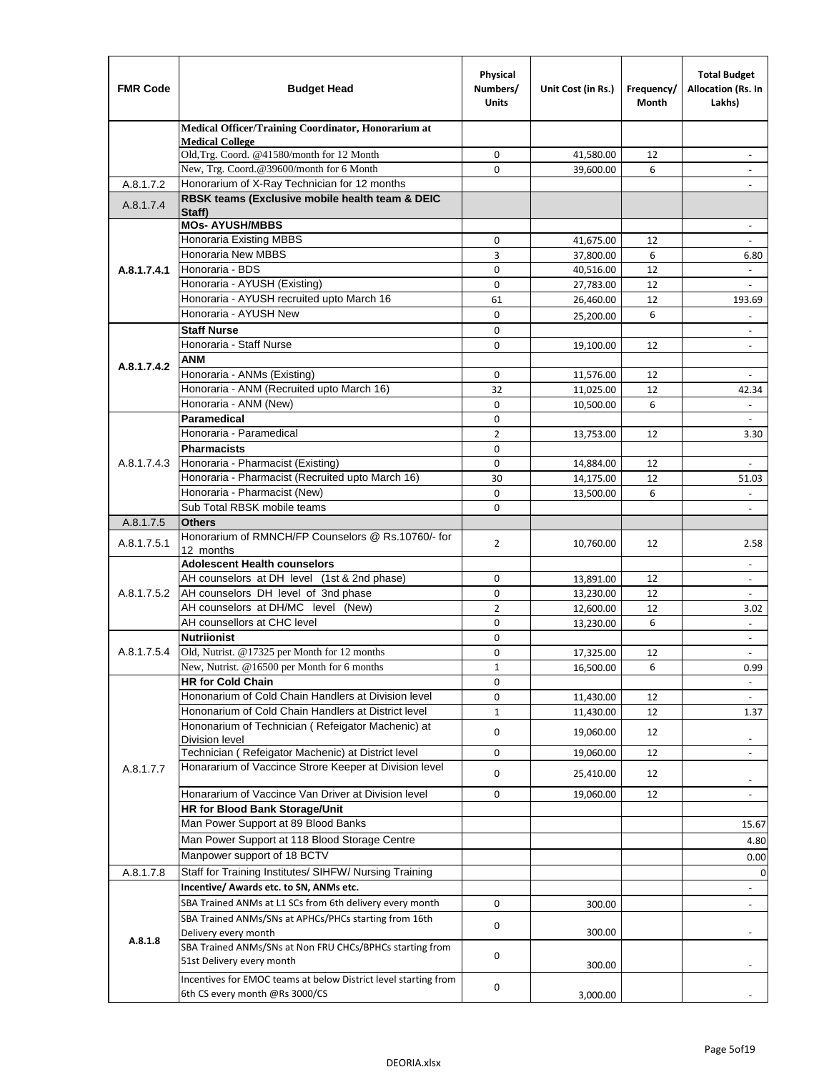| <b>FMR Code</b> | <b>Budget Head</b>                                                                                | Physical<br>Numbers/<br><b>Units</b> | Unit Cost (in Rs.)     | Frequency/<br><b>Month</b> | <b>Total Budget</b><br>Allocation (Rs. In<br>Lakhs) |
|-----------------|---------------------------------------------------------------------------------------------------|--------------------------------------|------------------------|----------------------------|-----------------------------------------------------|
|                 | Medical Officer/Training Coordinator, Honorarium at                                               |                                      |                        |                            |                                                     |
|                 | <b>Medical College</b><br>Old, Trg. Coord. @41580/month for 12 Month                              | 0                                    | 41,580.00              | 12                         |                                                     |
|                 | New, Trg. Coord.@39600/month for 6 Month                                                          | $\Omega$                             | 39,600.00              | 6                          |                                                     |
| A.8.1.7.2       | Honorarium of X-Ray Technician for 12 months                                                      |                                      |                        |                            |                                                     |
| A.8.1.7.4       | RBSK teams (Exclusive mobile health team & DEIC<br>Staff)                                         |                                      |                        |                            |                                                     |
|                 | <b>MOs- AYUSH/MBBS</b>                                                                            |                                      |                        |                            |                                                     |
|                 | Honoraria Existing MBBS                                                                           | $\mathbf 0$                          | 41,675.00              | 12                         | $\omega$                                            |
|                 | Honoraria New MBBS                                                                                | 3                                    | 37,800.00              | 6                          | 6.80                                                |
| A.8.1.7.4.1     | Honoraria - BDS                                                                                   | $\mathbf 0$                          | 40,516.00              | 12                         |                                                     |
|                 | Honoraria - AYUSH (Existing)                                                                      | 0                                    | 27,783.00              | 12                         | $\overline{\phantom{a}}$                            |
|                 | Honoraria - AYUSH recruited upto March 16                                                         | 61                                   | 26,460.00              | 12                         | 193.69                                              |
|                 | Honoraria - AYUSH New                                                                             | $\mathbf 0$                          | 25,200.00              | 6                          |                                                     |
|                 | <b>Staff Nurse</b>                                                                                | $\mathbf 0$                          |                        |                            |                                                     |
|                 | Honoraria - Staff Nurse<br><b>ANM</b>                                                             | 0                                    | 19,100.00              | 12                         | $\overline{\phantom{a}}$                            |
| A.8.1.7.4.2     | Honoraria - ANMs (Existing)                                                                       | 0                                    |                        |                            |                                                     |
|                 | Honoraria - ANM (Recruited upto March 16)                                                         | 32                                   | 11,576.00<br>11,025.00 | 12<br>12                   | 42.34                                               |
|                 | Honoraria - ANM (New)                                                                             | $\mathbf 0$                          | 10,500.00              | 6                          |                                                     |
|                 | <b>Paramedical</b>                                                                                | 0                                    |                        |                            | $\omega$                                            |
|                 | Honoraria - Paramedical                                                                           | $\overline{2}$                       | 13,753.00              | 12                         | 3.30                                                |
|                 | <b>Pharmacists</b>                                                                                | $\mathbf 0$                          |                        |                            |                                                     |
| A.8.1.7.4.3     | Honoraria - Pharmacist (Existing)                                                                 | 0                                    | 14,884.00              | 12                         |                                                     |
|                 | Honoraria - Pharmacist (Recruited upto March 16)                                                  | 30                                   | 14,175.00              | 12                         | 51.03                                               |
|                 | Honoraria - Pharmacist (New)                                                                      | $\mathbf 0$                          | 13,500.00              | 6                          |                                                     |
|                 | Sub Total RBSK mobile teams                                                                       | 0                                    |                        |                            | $\sim$                                              |
| A.8.1.7.5       | <b>Others</b>                                                                                     |                                      |                        |                            |                                                     |
| A.8.1.7.5.1     | Honorarium of RMNCH/FP Counselors @ Rs.10760/- for                                                | $\overline{2}$                       | 10,760.00              | 12                         | 2.58                                                |
|                 | 12 months                                                                                         |                                      |                        |                            |                                                     |
|                 | <b>Adolescent Health counselors</b>                                                               |                                      |                        |                            | $\sim$                                              |
|                 | AH counselors at DH level (1st & 2nd phase)                                                       | 0                                    | 13,891.00              | 12                         | $\overline{\phantom{a}}$                            |
| A.8.1.7.5.2     | AH counselors DH level of 3nd phase                                                               | $\mathbf 0$                          | 13,230.00              | 12                         | $\overline{\phantom{a}}$                            |
|                 | AH counselors at DH/MC level (New)<br>AH counsellors at CHC level                                 | $\overline{2}$                       | 12,600.00              | 12                         | 3.02<br>$\sim$                                      |
|                 | <b>Nutriionist</b>                                                                                | $\mathbf 0$<br>$\mathbf 0$           | 13,230.00              | 6                          | $\overline{\phantom{a}}$                            |
| A.8.1.7.5.4     | Old, Nutrist. @17325 per Month for 12 months                                                      | 0                                    | 17,325.00              | 12                         | $\overline{\phantom{a}}$                            |
|                 | New, Nutrist. $@16500$ per Month for 6 months                                                     | 1                                    | 16,500.00              | 6                          | 0.99                                                |
|                 | <b>HR for Cold Chain</b>                                                                          | 0                                    |                        |                            | $\overline{\phantom{a}}$                            |
|                 | Hononarium of Cold Chain Handlers at Division level                                               | 0                                    | 11,430.00              | 12                         |                                                     |
|                 | Hononarium of Cold Chain Handlers at District level                                               | $\mathbf{1}$                         | 11,430.00              | 12                         | 1.37                                                |
|                 | Hononarium of Technician (Refeigator Machenic) at                                                 |                                      |                        |                            |                                                     |
|                 | <b>Division level</b>                                                                             | 0                                    | 19,060.00              | 12                         |                                                     |
|                 | Technician (Refeigator Machenic) at District level                                                | 0                                    | 19,060.00              | 12                         |                                                     |
| A.8.1.7.7       | Honararium of Vaccince Strore Keeper at Division level                                            | 0                                    | 25,410.00              | 12                         |                                                     |
|                 |                                                                                                   |                                      |                        |                            |                                                     |
|                 | Honararium of Vaccince Van Driver at Division level<br>HR for Blood Bank Storage/Unit             | 0                                    | 19,060.00              | 12                         |                                                     |
|                 | Man Power Support at 89 Blood Banks                                                               |                                      |                        |                            |                                                     |
|                 |                                                                                                   |                                      |                        |                            | 15.67                                               |
|                 | Man Power Support at 118 Blood Storage Centre                                                     |                                      |                        |                            | 4.80                                                |
|                 | Manpower support of 18 BCTV                                                                       |                                      |                        |                            | 0.00                                                |
| A.8.1.7.8       | Staff for Training Institutes/ SIHFW/ Nursing Training                                            |                                      |                        |                            | $\mathbf 0$                                         |
|                 | Incentive/ Awards etc. to SN, ANMs etc.                                                           |                                      |                        |                            | $\overline{\phantom{a}}$                            |
|                 | SBA Trained ANMs at L1 SCs from 6th delivery every month                                          | 0                                    | 300.00                 |                            | $\overline{\phantom{a}}$                            |
|                 | SBA Trained ANMs/SNs at APHCs/PHCs starting from 16th                                             | 0                                    |                        |                            |                                                     |
| A.8.1.8         | Delivery every month<br>SBA Trained ANMs/SNs at Non FRU CHCs/BPHCs starting from                  |                                      | 300.00                 |                            |                                                     |
|                 | 51st Delivery every month                                                                         | 0                                    |                        |                            |                                                     |
|                 |                                                                                                   |                                      | 300.00                 |                            |                                                     |
|                 | Incentives for EMOC teams at below District level starting from<br>6th CS every month @Rs 3000/CS | 0                                    |                        |                            |                                                     |
|                 |                                                                                                   |                                      | 3,000.00               |                            |                                                     |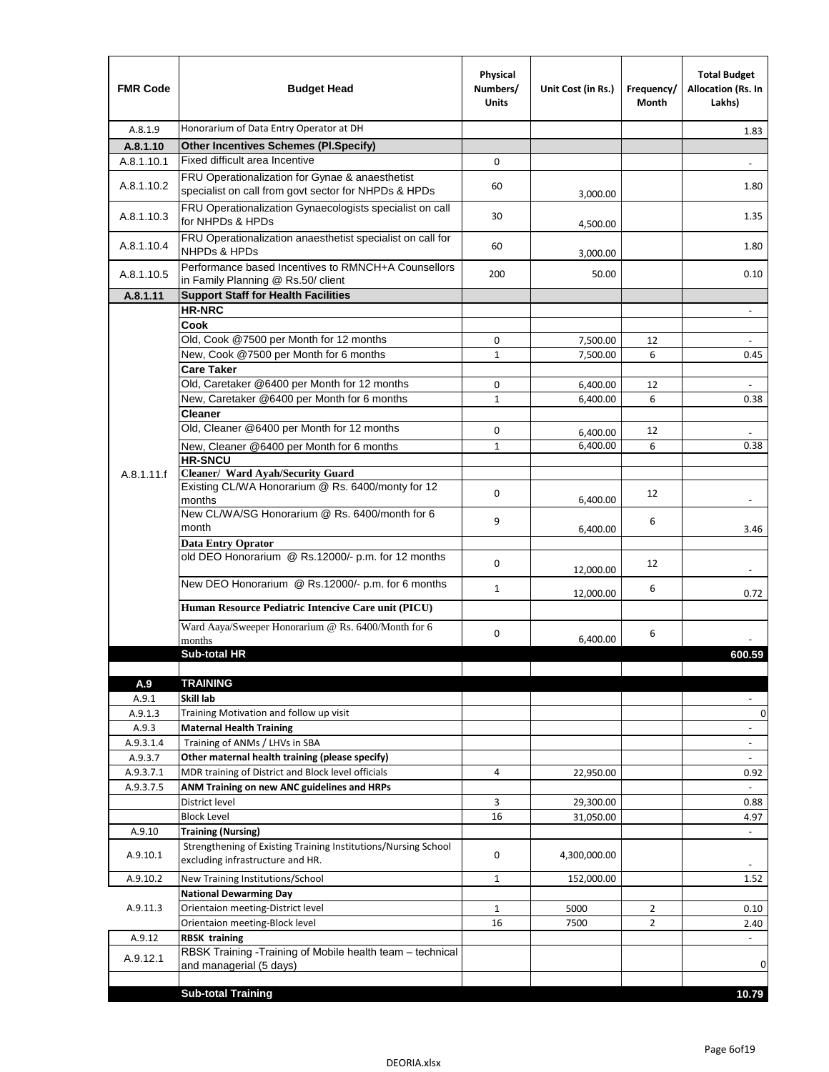| <b>FMR Code</b>  | <b>Budget Head</b>                                                                                      | Physical<br>Numbers/<br><b>Units</b> | Unit Cost (in Rs.)   | Frequency/<br><b>Month</b> | <b>Total Budget</b><br>Allocation (Rs. In<br>Lakhs) |
|------------------|---------------------------------------------------------------------------------------------------------|--------------------------------------|----------------------|----------------------------|-----------------------------------------------------|
| A.8.1.9          | Honorarium of Data Entry Operator at DH                                                                 |                                      |                      |                            | 1.83                                                |
| A.8.1.10         | <b>Other Incentives Schemes (PI.Specify)</b>                                                            |                                      |                      |                            |                                                     |
| A.8.1.10.1       | Fixed difficult area Incentive                                                                          | 0                                    |                      |                            |                                                     |
| A.8.1.10.2       | FRU Operationalization for Gynae & anaesthetist<br>specialist on call from govt sector for NHPDs & HPDs | 60                                   | 3,000.00             |                            | 1.80                                                |
| A.8.1.10.3       | FRU Operationalization Gynaecologists specialist on call<br>for NHPDs & HPDs                            | 30                                   | 4,500.00             |                            | 1.35                                                |
| A.8.1.10.4       | FRU Operationalization anaesthetist specialist on call for<br><b>NHPDs &amp; HPDs</b>                   | 60                                   | 3,000.00             |                            | 1.80                                                |
| A.8.1.10.5       | Performance based Incentives to RMNCH+A Counsellors<br>in Family Planning @ Rs.50/ client               | 200                                  | 50.00                |                            | 0.10                                                |
| A.8.1.11         | <b>Support Staff for Health Facilities</b>                                                              |                                      |                      |                            |                                                     |
|                  | <b>HR-NRC</b>                                                                                           |                                      |                      |                            | $\omega$                                            |
|                  | Cook                                                                                                    |                                      |                      |                            |                                                     |
|                  | Old, Cook @7500 per Month for 12 months                                                                 | 0                                    | 7,500.00             | 12                         |                                                     |
|                  | New, Cook @7500 per Month for 6 months<br><b>Care Taker</b>                                             | $\mathbf{1}$                         | 7,500.00             | 6                          | 0.45                                                |
|                  | Old, Caretaker @6400 per Month for 12 months                                                            | 0                                    |                      | 12                         | $\blacksquare$                                      |
|                  | New, Caretaker @6400 per Month for 6 months                                                             | 1                                    | 6,400.00<br>6,400.00 | 6                          | 0.38                                                |
|                  | <b>Cleaner</b>                                                                                          |                                      |                      |                            |                                                     |
|                  | Old, Cleaner @6400 per Month for 12 months                                                              | 0                                    | 6.400.00             | 12                         |                                                     |
|                  | New, Cleaner @6400 per Month for 6 months                                                               | $\mathbf{1}$                         | 6,400.00             | 6                          | 0.38                                                |
|                  | <b>HR-SNCU</b>                                                                                          |                                      |                      |                            |                                                     |
| A.8.1.11.f       | Cleaner/ Ward Ayah/Security Guard                                                                       |                                      |                      |                            |                                                     |
|                  | Existing CL/WA Honorarium @ Rs. 6400/monty for 12<br>months                                             | 0                                    | 6,400.00             | 12                         | $\blacksquare$                                      |
|                  | New CL/WA/SG Honorarium @ Rs. 6400/month for 6<br>month                                                 | 9                                    | 6,400.00             | 6                          | 3.46                                                |
|                  | <b>Data Entry Oprator</b><br>old DEO Honorarium @ Rs.12000/- p.m. for 12 months                         | 0                                    | 12,000.00            | 12                         |                                                     |
|                  | New DEO Honorarium @ Rs.12000/- p.m. for 6 months                                                       | $\mathbf{1}$                         | 12,000.00            | 6                          | 0.72                                                |
|                  | Human Resource Pediatric Intencive Care unit (PICU)                                                     |                                      |                      |                            |                                                     |
|                  | Ward Aaya/Sweeper Honorarium @ Rs. 6400/Month for 6<br>months                                           | 0                                    | 6,400.00             | 6                          |                                                     |
|                  | <b>Sub-total HR</b>                                                                                     |                                      |                      |                            | 600.59                                              |
|                  |                                                                                                         |                                      |                      |                            |                                                     |
| A.9              | <b>TRAINING</b>                                                                                         |                                      |                      |                            |                                                     |
| A.9.1            | Skill lab                                                                                               |                                      |                      |                            |                                                     |
| A.9.1.3<br>A.9.3 | Training Motivation and follow up visit<br><b>Maternal Health Training</b>                              |                                      |                      |                            | 0<br>$\equiv$                                       |
| A.9.3.1.4        | Training of ANMs / LHVs in SBA                                                                          |                                      |                      |                            | $\overline{\phantom{a}}$                            |
| A.9.3.7          | Other maternal health training (please specify)                                                         |                                      |                      |                            | $\overline{\phantom{a}}$                            |
| A.9.3.7.1        | MDR training of District and Block level officials                                                      | 4                                    | 22,950.00            |                            | 0.92                                                |
| A.9.3.7.5        | ANM Training on new ANC guidelines and HRPs                                                             |                                      |                      |                            |                                                     |
|                  | District level                                                                                          | 3                                    | 29,300.00            |                            | 0.88                                                |
|                  | <b>Block Level</b>                                                                                      | 16                                   | 31,050.00            |                            | 4.97                                                |
| A.9.10           | <b>Training (Nursing)</b>                                                                               |                                      |                      |                            | $\overline{\phantom{a}}$                            |
| A.9.10.1         | Strengthening of Existing Training Institutions/Nursing School<br>excluding infrastructure and HR.      | 0                                    | 4,300,000.00         |                            | $\overline{\phantom{a}}$                            |
| A.9.10.2         | New Training Institutions/School                                                                        | $\mathbf{1}$                         | 152,000.00           |                            | 1.52                                                |
|                  | <b>National Dewarming Day</b>                                                                           |                                      |                      |                            |                                                     |
| A.9.11.3         | Orientaion meeting-District level                                                                       | $\mathbf{1}$                         | 5000                 | $\overline{2}$             | 0.10                                                |
|                  | Orientaion meeting-Block level                                                                          | 16                                   | 7500                 | $\overline{2}$             | 2.40                                                |
| A.9.12           | <b>RBSK training</b>                                                                                    |                                      |                      |                            | $\blacksquare$                                      |
| A.9.12.1         | RBSK Training -Training of Mobile health team - technical<br>and managerial (5 days)                    |                                      |                      |                            | 0                                                   |
|                  |                                                                                                         |                                      |                      |                            |                                                     |
|                  | <b>Sub-total Training</b>                                                                               |                                      |                      |                            | 10.79                                               |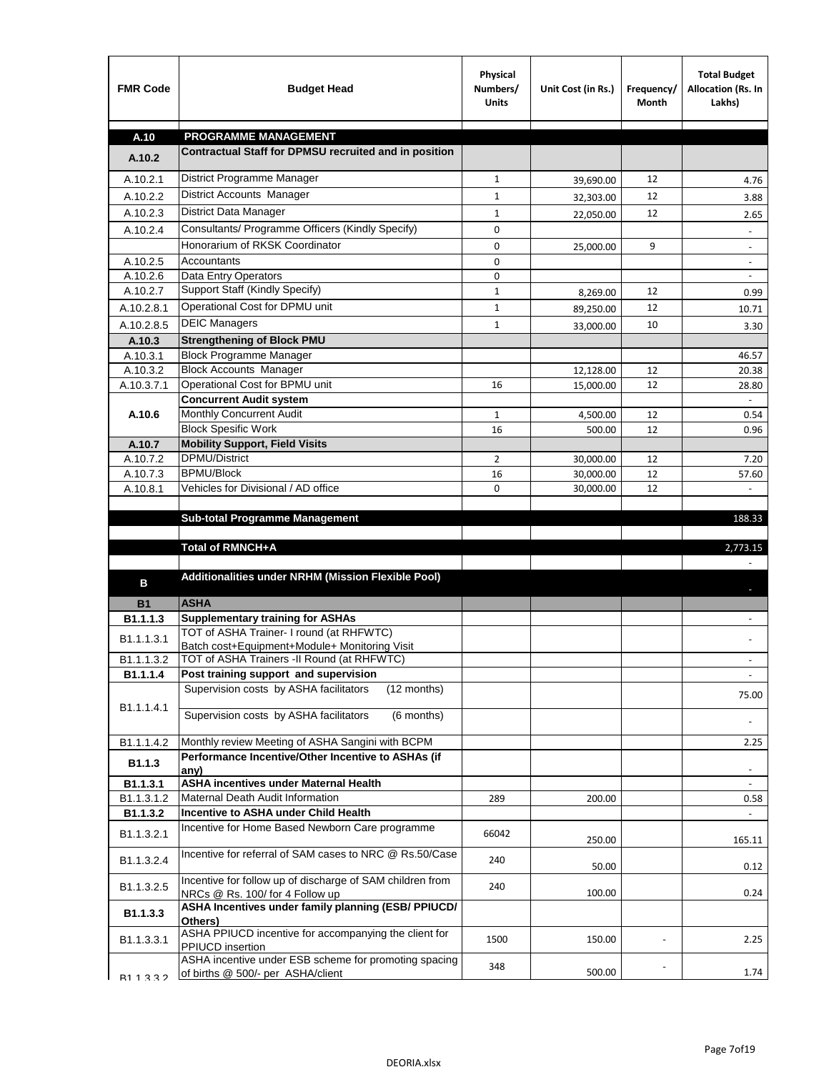| <b>FMR Code</b>        | <b>Budget Head</b>                                                                                                                 | Physical<br>Numbers/<br><b>Units</b> | Unit Cost (in Rs.) | Frequency/<br>Month | <b>Total Budget</b><br>Allocation (Rs. In<br>Lakhs) |
|------------------------|------------------------------------------------------------------------------------------------------------------------------------|--------------------------------------|--------------------|---------------------|-----------------------------------------------------|
| A.10                   | <b>PROGRAMME MANAGEMENT</b>                                                                                                        |                                      |                    |                     |                                                     |
| A.10.2                 | Contractual Staff for DPMSU recruited and in position                                                                              |                                      |                    |                     |                                                     |
| A.10.2.1               | District Programme Manager                                                                                                         | $\mathbf{1}$                         | 39,690.00          | 12                  | 4.76                                                |
| A.10.2.2               | <b>District Accounts Manager</b>                                                                                                   | $\mathbf{1}$                         | 32,303.00          | 12                  | 3.88                                                |
| A.10.2.3               | District Data Manager                                                                                                              | 1                                    | 22,050.00          | 12                  | 2.65                                                |
| A.10.2.4               | Consultants/ Programme Officers (Kindly Specify)                                                                                   | 0                                    |                    |                     | $\overline{\phantom{a}}$                            |
|                        | Honorarium of RKSK Coordinator                                                                                                     | 0                                    | 25,000.00          | 9                   |                                                     |
| A.10.2.5               | <b>Accountants</b>                                                                                                                 | 0                                    |                    |                     |                                                     |
| A.10.2.6               | Data Entry Operators                                                                                                               | 0                                    |                    |                     |                                                     |
| A.10.2.7               | Support Staff (Kindly Specify)                                                                                                     | $\mathbf 1$                          | 8,269.00           | 12                  | 0.99                                                |
| A.10.2.8.1             | Operational Cost for DPMU unit                                                                                                     | $1\,$                                | 89,250.00          | 12                  | 10.71                                               |
| A.10.2.8.5             | <b>DEIC Managers</b>                                                                                                               | $\mathbf{1}$                         | 33,000.00          | 10                  | 3.30                                                |
| A.10.3                 | <b>Strengthening of Block PMU</b>                                                                                                  |                                      |                    |                     |                                                     |
| A.10.3.1               | <b>Block Programme Manager</b>                                                                                                     |                                      |                    |                     | 46.57                                               |
| A.10.3.2               | <b>Block Accounts Manager</b>                                                                                                      |                                      | 12,128.00          | 12                  | 20.38                                               |
| A.10.3.7.1             | Operational Cost for BPMU unit                                                                                                     | 16                                   | 15,000.00          | 12                  | 28.80                                               |
|                        | <b>Concurrent Audit system</b>                                                                                                     |                                      |                    |                     |                                                     |
| A.10.6                 | Monthly Concurrent Audit                                                                                                           | $\mathbf{1}$                         | 4,500.00           | 12                  | 0.54                                                |
|                        | <b>Block Spesific Work</b>                                                                                                         | 16                                   | 500.00             | 12                  | 0.96                                                |
| A.10.7                 | <b>Mobility Support, Field Visits</b>                                                                                              |                                      |                    |                     |                                                     |
| A.10.7.2               | <b>DPMU/District</b>                                                                                                               | $\overline{2}$                       | 30,000.00          | 12                  | 7.20                                                |
| A.10.7.3               | <b>BPMU/Block</b>                                                                                                                  | 16                                   | 30,000.00          | 12                  | 57.60                                               |
| A.10.8.1               | Vehicles for Divisional / AD office                                                                                                | 0                                    | 30,000.00          | 12                  | $\overline{a}$                                      |
|                        | <b>Sub-total Programme Management</b>                                                                                              |                                      |                    |                     | 188.33                                              |
|                        |                                                                                                                                    |                                      |                    |                     |                                                     |
|                        | Total of RMNCH+A                                                                                                                   |                                      |                    |                     | 2,773.15                                            |
| в                      | Additionalities under NRHM (Mission Flexible Pool)                                                                                 |                                      |                    |                     |                                                     |
| <b>B1</b>              | <b>ASHA</b>                                                                                                                        |                                      |                    |                     |                                                     |
| B1.1.1.3               | <b>Supplementary training for ASHAs</b>                                                                                            |                                      |                    |                     |                                                     |
| B1.1.1.3.1             | TOT of ASHA Trainer- I round (at RHFWTC)                                                                                           |                                      |                    |                     |                                                     |
| B <sub>1.1.1.3.2</sub> | Batch cost+Equipment+Module+ Monitoring Visit<br>TOT of ASHA Trainers -II Round (at RHFWTC)                                        |                                      |                    |                     |                                                     |
| B1.1.1.4               | Post training support and supervision                                                                                              |                                      |                    |                     | $\blacksquare$                                      |
|                        | Supervision costs by ASHA facilitators<br>(12 months)                                                                              |                                      |                    |                     | 75.00                                               |
| B1.1.1.4.1             | Supervision costs by ASHA facilitators<br>(6 months)                                                                               |                                      |                    |                     |                                                     |
| B1.1.1.4.2             | Monthly review Meeting of ASHA Sangini with BCPM                                                                                   |                                      |                    |                     | 2.25                                                |
| B1.1.3                 | Performance Incentive/Other Incentive to ASHAs (if<br>any)                                                                         |                                      |                    |                     | $\overline{\phantom{a}}$                            |
| B1.1.3.1               | <b>ASHA incentives under Maternal Health</b>                                                                                       |                                      |                    |                     | $\blacksquare$                                      |
| B1.1.3.1.2             | Maternal Death Audit Information                                                                                                   | 289                                  | 200.00             |                     | 0.58                                                |
| B1.1.3.2               | Incentive to ASHA under Child Health                                                                                               |                                      |                    |                     |                                                     |
| B1.1.3.2.1             | Incentive for Home Based Newborn Care programme                                                                                    | 66042                                | 250.00             |                     | 165.11                                              |
| B1.1.3.2.4             | Incentive for referral of SAM cases to NRC @ Rs.50/Case                                                                            | 240                                  | 50.00              |                     | 0.12                                                |
| B1.1.3.2.5             | Incentive for follow up of discharge of SAM children from<br>NRCs @ Rs. 100/ for 4 Follow up                                       | 240                                  | 100.00             |                     | 0.24                                                |
| B1.1.3.3               | ASHA Incentives under family planning (ESB/ PPIUCD/<br>Others)                                                                     |                                      |                    |                     |                                                     |
| B1.1.3.3.1             |                                                                                                                                    |                                      |                    |                     |                                                     |
|                        | ASHA PPIUCD incentive for accompanying the client for<br>PPIUCD insertion<br>ASHA incentive under ESB scheme for promoting spacing | 1500                                 | 150.00             |                     | 2.25                                                |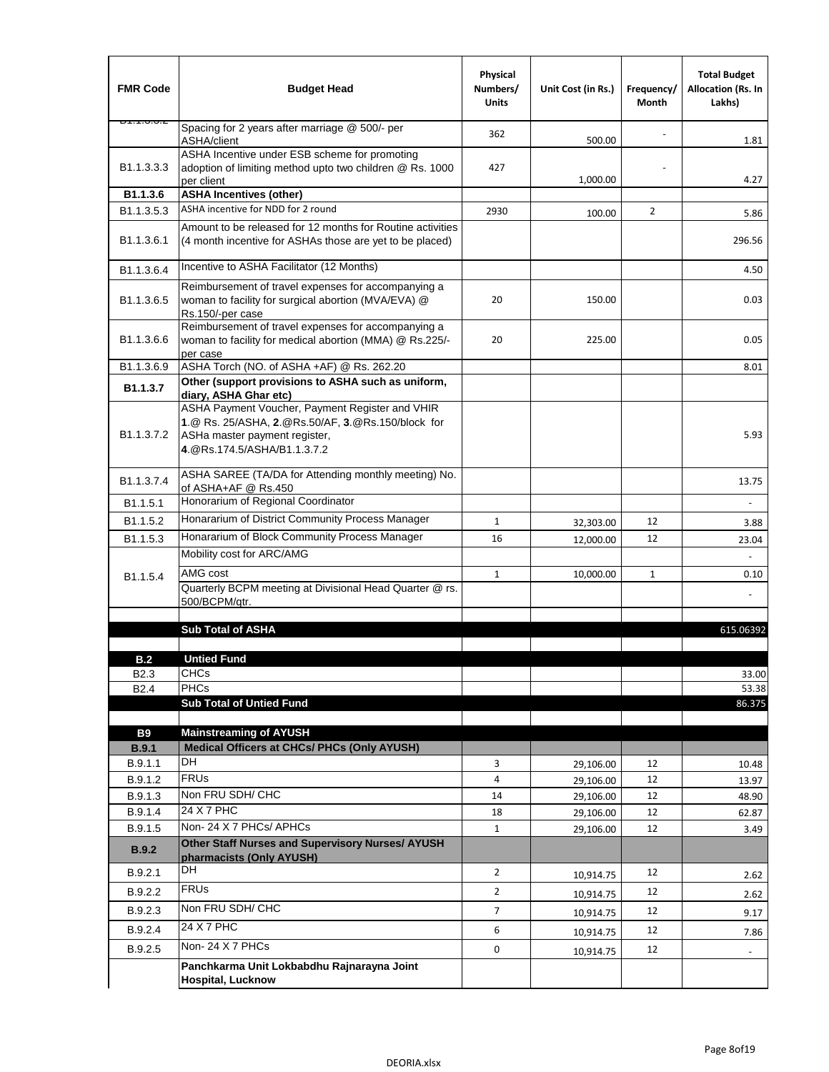| <b>FMR Code</b>         | <b>Budget Head</b>                                                                                                                                                   | Physical<br>Numbers/<br><b>Units</b> | Unit Cost (in Rs.) | Frequency/<br>Month | <b>Total Budget</b><br>Allocation (Rs. In<br>Lakhs) |
|-------------------------|----------------------------------------------------------------------------------------------------------------------------------------------------------------------|--------------------------------------|--------------------|---------------------|-----------------------------------------------------|
| 51.1.J.J.Z              | Spacing for 2 years after marriage @ 500/- per<br>ASHA/client                                                                                                        | 362                                  | 500.00             |                     | 1.81                                                |
| B <sub>1.1</sub> .3.3.3 | ASHA Incentive under ESB scheme for promoting<br>adoption of limiting method upto two children @ Rs. 1000<br>per client                                              | 427                                  | 1,000.00           |                     | 4.27                                                |
| B1.1.3.6                | <b>ASHA Incentives (other)</b>                                                                                                                                       |                                      |                    |                     |                                                     |
| B <sub>1.1</sub> .3.5.3 | ASHA incentive for NDD for 2 round                                                                                                                                   | 2930                                 | 100.00             | $\overline{2}$      | 5.86                                                |
| B <sub>1.1</sub> .3.6.1 | Amount to be released for 12 months for Routine activities<br>(4 month incentive for ASHAs those are yet to be placed)                                               |                                      |                    |                     | 296.56                                              |
| B1.1.3.6.4              | Incentive to ASHA Facilitator (12 Months)                                                                                                                            |                                      |                    |                     | 4.50                                                |
| B <sub>1.1</sub> .3.6.5 | Reimbursement of travel expenses for accompanying a<br>woman to facility for surgical abortion (MVA/EVA) @<br>Rs.150/-per case                                       | 20                                   | 150.00             |                     | 0.03                                                |
| B <sub>1.1</sub> .3.6.6 | Reimbursement of travel expenses for accompanying a<br>woman to facility for medical abortion (MMA) @ Rs.225/-<br>per case                                           | 20                                   | 225.00             |                     | 0.05                                                |
| B1.1.3.6.9              | ASHA Torch (NO. of ASHA +AF) @ Rs. 262.20                                                                                                                            |                                      |                    |                     | 8.01                                                |
| B1.1.3.7                | Other (support provisions to ASHA such as uniform,<br>diary, ASHA Ghar etc)                                                                                          |                                      |                    |                     |                                                     |
| B1.1.3.7.2              | ASHA Payment Voucher, Payment Register and VHIR<br>1.@ Rs. 25/ASHA, 2.@Rs.50/AF, 3.@Rs.150/block for<br>ASHa master payment register,<br>4.@Rs.174.5/ASHA/B1.1.3.7.2 |                                      |                    |                     | 5.93                                                |
| B <sub>1.1</sub> .3.7.4 | ASHA SAREE (TA/DA for Attending monthly meeting) No.<br>of ASHA+AF @ Rs.450                                                                                          |                                      |                    |                     | 13.75                                               |
| B <sub>1.1.5.1</sub>    | Honorarium of Regional Coordinator                                                                                                                                   |                                      |                    |                     |                                                     |
| B1.1.5.2                | Honararium of District Community Process Manager                                                                                                                     | $\mathbf{1}$                         | 32,303.00          | 12                  | 3.88                                                |
| B <sub>1.1</sub> .5.3   | Honararium of Block Community Process Manager                                                                                                                        | 16                                   | 12,000.00          | 12                  | 23.04                                               |
|                         | Mobility cost for ARC/AMG                                                                                                                                            |                                      |                    |                     |                                                     |
| B1.1.5.4                | AMG cost                                                                                                                                                             | $\mathbf{1}$                         | 10,000.00          | $\mathbf{1}$        | 0.10                                                |
|                         | Quarterly BCPM meeting at Divisional Head Quarter @ rs.<br>500/BCPM/qtr.                                                                                             |                                      |                    |                     |                                                     |
|                         | <b>Sub Total of ASHA</b>                                                                                                                                             |                                      |                    |                     | 615.06392                                           |
| B.2                     | <b>Untied Fund</b>                                                                                                                                                   |                                      |                    |                     |                                                     |
| B2.3                    | CHCs                                                                                                                                                                 |                                      |                    |                     | 33.00                                               |
| B <sub>2.4</sub>        | <b>PHCs</b>                                                                                                                                                          |                                      |                    |                     | 53.38                                               |
|                         | <b>Sub Total of Untied Fund</b>                                                                                                                                      |                                      |                    |                     | 86.375                                              |
| <b>B9</b>               | <b>Mainstreaming of AYUSH</b>                                                                                                                                        |                                      |                    |                     |                                                     |
| <b>B.9.1</b>            | Medical Officers at CHCs/ PHCs (Only AYUSH)                                                                                                                          |                                      |                    |                     |                                                     |
| B.9.1.1                 | DH                                                                                                                                                                   | 3                                    | 29,106.00          | 12                  | 10.48                                               |
| B.9.1.2                 | <b>FRUs</b>                                                                                                                                                          | 4                                    | 29,106.00          | 12                  | 13.97                                               |
| B.9.1.3                 | Non FRU SDH/ CHC                                                                                                                                                     | 14                                   | 29,106.00          | 12                  | 48.90                                               |
| B.9.1.4                 | 24 X 7 PHC                                                                                                                                                           | 18                                   | 29,106.00          | 12                  | 62.87                                               |
| B.9.1.5                 | Non-24 X 7 PHCs/ APHCs                                                                                                                                               | $\mathbf{1}$                         | 29,106.00          | 12                  | 3.49                                                |
| <b>B.9.2</b>            | Other Staff Nurses and Supervisory Nurses/ AYUSH<br>pharmacists (Only AYUSH)                                                                                         |                                      |                    |                     |                                                     |
| B.9.2.1                 | DH                                                                                                                                                                   | $\overline{2}$                       | 10,914.75          | 12                  | 2.62                                                |
| B.9.2.2                 | <b>FRUs</b>                                                                                                                                                          | $\overline{2}$                       | 10,914.75          | 12                  | 2.62                                                |
| B.9.2.3                 | Non FRU SDH/ CHC                                                                                                                                                     | $\overline{7}$                       | 10,914.75          | 12                  | 9.17                                                |
| B.9.2.4                 | 24 X 7 PHC                                                                                                                                                           | 6                                    | 10,914.75          | 12                  | 7.86                                                |
| B.9.2.5                 | Non-24 X 7 PHCs                                                                                                                                                      | 0                                    | 10,914.75          | 12                  |                                                     |
|                         | Panchkarma Unit Lokbabdhu Rajnarayna Joint<br><b>Hospital, Lucknow</b>                                                                                               |                                      |                    |                     |                                                     |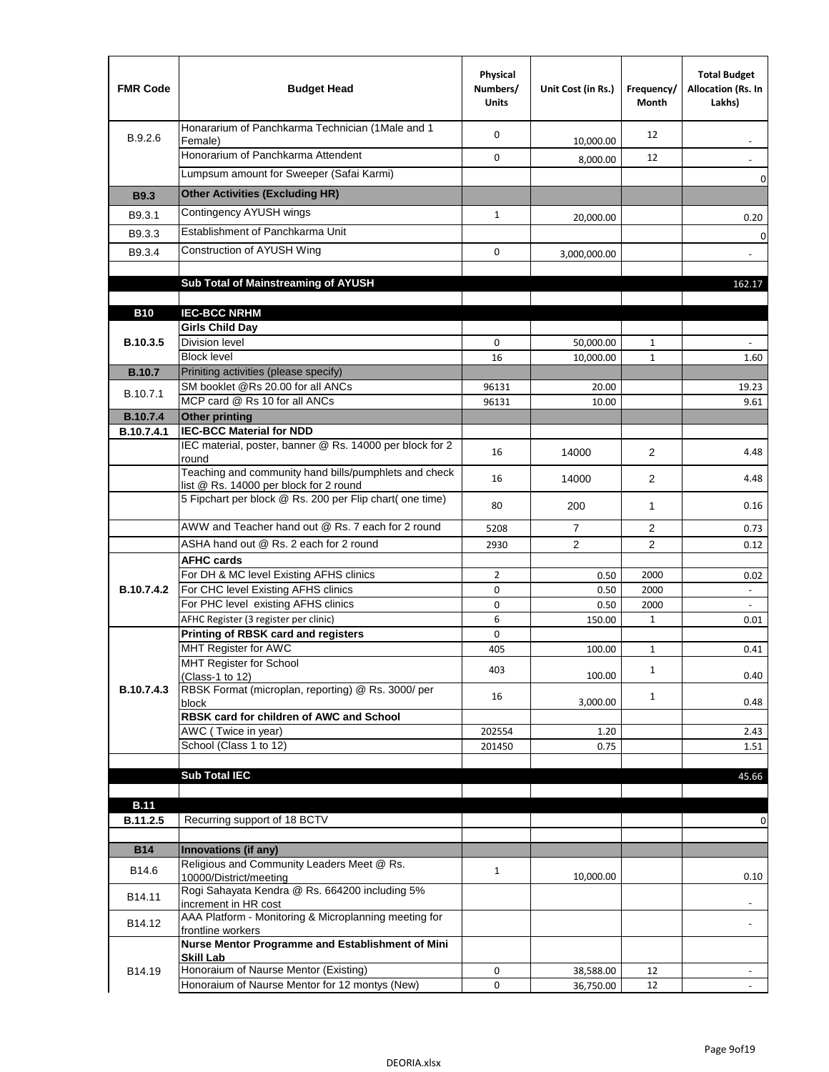| <b>FMR Code</b> | <b>Budget Head</b>                                                                              | Physical<br>Numbers/<br><b>Units</b> | Unit Cost (in Rs.) | Frequency/<br><b>Month</b> | <b>Total Budget</b><br>Allocation (Rs. In<br>Lakhs) |
|-----------------|-------------------------------------------------------------------------------------------------|--------------------------------------|--------------------|----------------------------|-----------------------------------------------------|
| B.9.2.6         | Honararium of Panchkarma Technician (1Male and 1<br>Female)                                     | 0                                    | 10,000.00          | 12                         |                                                     |
|                 | Honorarium of Panchkarma Attendent                                                              | 0                                    | 8,000.00           | 12                         |                                                     |
|                 | Lumpsum amount for Sweeper (Safai Karmi)                                                        |                                      |                    |                            | 0                                                   |
| <b>B9.3</b>     | <b>Other Activities (Excluding HR)</b>                                                          |                                      |                    |                            |                                                     |
| B9.3.1          | <b>Contingency AYUSH wings</b>                                                                  |                                      |                    |                            |                                                     |
|                 | Establishment of Panchkarma Unit                                                                | $\mathbf{1}$                         | 20,000.00          |                            | 0.20                                                |
| B9.3.3          |                                                                                                 |                                      |                    |                            | 0                                                   |
| B9.3.4          | Construction of AYUSH Wing                                                                      | $\mathbf 0$                          | 3,000,000.00       |                            | $\blacksquare$                                      |
|                 |                                                                                                 |                                      |                    |                            |                                                     |
|                 | Sub Total of Mainstreaming of AYUSH                                                             |                                      |                    |                            | 162.17                                              |
| <b>B10</b>      | <b>IEC-BCC NRHM</b>                                                                             |                                      |                    |                            |                                                     |
|                 | <b>Girls Child Day</b>                                                                          |                                      |                    |                            |                                                     |
| <b>B.10.3.5</b> | Division level                                                                                  | 0                                    | 50,000.00          | 1                          |                                                     |
|                 | <b>Block level</b>                                                                              | 16                                   | 10,000.00          | $\mathbf{1}$               | 1.60                                                |
| <b>B.10.7</b>   | Priniting activities (please specify)                                                           |                                      |                    |                            |                                                     |
| B.10.7.1        | SM booklet @Rs 20.00 for all ANCs                                                               | 96131                                | 20.00              |                            | 19.23                                               |
|                 | MCP card @ Rs 10 for all ANCs                                                                   | 96131                                | 10.00              |                            | 9.61                                                |
| <b>B.10.7.4</b> | <b>Other printing</b>                                                                           |                                      |                    |                            |                                                     |
| B.10.7.4.1      | <b>IEC-BCC Material for NDD</b>                                                                 |                                      |                    |                            |                                                     |
|                 | IEC material, poster, banner @ Rs. 14000 per block for 2<br>round                               | 16                                   | 14000              | $\overline{2}$             | 4.48                                                |
|                 | Teaching and community hand bills/pumphlets and check<br>list @ Rs. 14000 per block for 2 round | 16                                   | 14000              | 2                          | 4.48                                                |
|                 | 5 Fipchart per block @ Rs. 200 per Flip chart( one time)                                        | 80                                   | 200                | 1                          | 0.16                                                |
|                 | AWW and Teacher hand out @ Rs. 7 each for 2 round                                               | 5208                                 | $\overline{7}$     | 2                          | 0.73                                                |
|                 | ASHA hand out @ Rs. 2 each for 2 round                                                          | 2930                                 | $\overline{2}$     | 2                          | 0.12                                                |
|                 | <b>AFHC cards</b>                                                                               |                                      |                    |                            |                                                     |
|                 | For DH & MC level Existing AFHS clinics                                                         | $\overline{2}$                       | 0.50               | 2000                       | 0.02                                                |
| B.10.7.4.2      | For CHC level Existing AFHS clinics                                                             | 0                                    | 0.50               | 2000                       |                                                     |
|                 | For PHC level existing AFHS clinics                                                             | 0                                    | 0.50               | 2000                       | $\omega$                                            |
|                 | AFHC Register (3 register per clinic)                                                           | 6                                    | 150.00             | $\mathbf{1}$               | 0.01                                                |
|                 | <b>Printing of RBSK card and registers</b>                                                      | 0                                    |                    |                            |                                                     |
|                 | MHT Register for AWC<br><b>MHT Register for School</b>                                          | 405                                  | 100.00             | 1                          | 0.41                                                |
|                 | (Class-1 to 12)                                                                                 | 403                                  | 100.00             | $\mathbf{1}$               | 0.40                                                |
| B.10.7.4.3      | RBSK Format (microplan, reporting) @ Rs. 3000/ per<br>block                                     | 16                                   | 3,000.00           | $\mathbf{1}$               | 0.48                                                |
|                 | RBSK card for children of AWC and School                                                        |                                      |                    |                            |                                                     |
|                 | AWC (Twice in year)                                                                             | 202554                               | 1.20               |                            | 2.43                                                |
|                 | School (Class 1 to 12)                                                                          | 201450                               | 0.75               |                            | 1.51                                                |
|                 |                                                                                                 |                                      |                    |                            |                                                     |
|                 | <b>Sub Total IEC</b>                                                                            |                                      |                    |                            | 45.66                                               |
|                 |                                                                                                 |                                      |                    |                            |                                                     |
| <b>B.11</b>     | Recurring support of 18 BCTV                                                                    |                                      |                    |                            |                                                     |
| B.11.2.5        |                                                                                                 |                                      |                    |                            | 0                                                   |
| <b>B14</b>      | Innovations (if any)                                                                            |                                      |                    |                            |                                                     |
| B14.6           | Religious and Community Leaders Meet @ Rs.<br>10000/District/meeting                            | $\mathbf{1}$                         | 10,000.00          |                            | 0.10                                                |
| B14.11          | Rogi Sahayata Kendra @ Rs. 664200 including 5%<br>increment in HR cost                          |                                      |                    |                            |                                                     |
| B14.12          | AAA Platform - Monitoring & Microplanning meeting for                                           |                                      |                    |                            |                                                     |
|                 | frontline workers<br>Nurse Mentor Programme and Establishment of Mini                           |                                      |                    |                            |                                                     |
| B14.19          | <b>Skill Lab</b><br>Honoraium of Naurse Mentor (Existing)                                       | 0                                    | 38,588.00          | 12                         |                                                     |
|                 | Honoraium of Naurse Mentor for 12 montys (New)                                                  | 0                                    | 36,750.00          | 12                         |                                                     |
|                 |                                                                                                 |                                      |                    |                            |                                                     |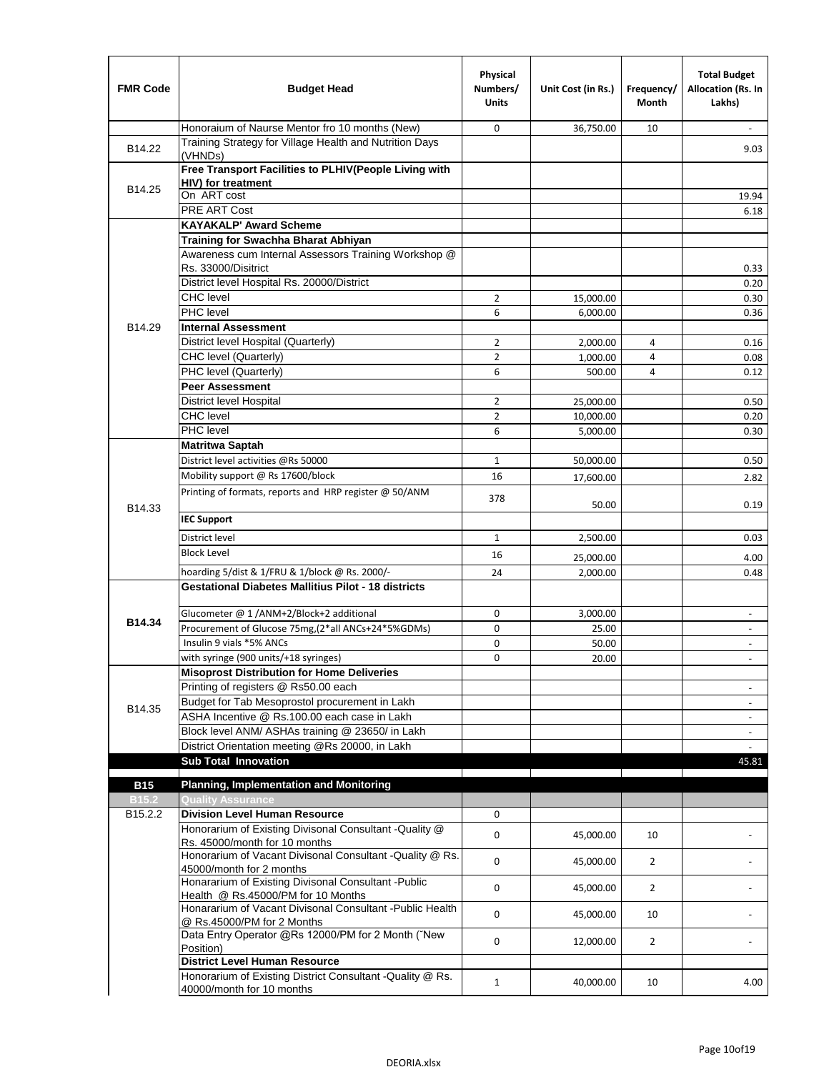| <b>FMR Code</b>         | <b>Budget Head</b>                                                                              | Physical<br>Numbers/<br><b>Units</b> | Unit Cost (in Rs.) | Frequency/<br><b>Month</b> | <b>Total Budget</b><br>Allocation (Rs. In<br>Lakhs) |
|-------------------------|-------------------------------------------------------------------------------------------------|--------------------------------------|--------------------|----------------------------|-----------------------------------------------------|
|                         | Honoraium of Naurse Mentor fro 10 months (New)                                                  | $\mathbf 0$                          | 36,750.00          | 10                         |                                                     |
| B14.22                  | Training Strategy for Village Health and Nutrition Days<br>(VHNDs)                              |                                      |                    |                            | 9.03                                                |
|                         | Free Transport Facilities to PLHIV(People Living with<br>HIV) for treatment                     |                                      |                    |                            |                                                     |
| B14.25                  | On ART cost                                                                                     |                                      |                    |                            | 19.94                                               |
|                         | <b>PRE ART Cost</b>                                                                             |                                      |                    |                            | 6.18                                                |
|                         | <b>KAYAKALP' Award Scheme</b>                                                                   |                                      |                    |                            |                                                     |
|                         | Training for Swachha Bharat Abhiyan                                                             |                                      |                    |                            |                                                     |
|                         | Awareness cum Internal Assessors Training Workshop @<br>Rs. 33000/Disitrict                     |                                      |                    |                            | 0.33                                                |
|                         | District level Hospital Rs. 20000/District                                                      |                                      |                    |                            | 0.20                                                |
|                         | <b>CHC</b> level                                                                                | $\overline{2}$                       | 15,000.00          |                            | 0.30                                                |
|                         | PHC level                                                                                       | 6                                    | 6,000.00           |                            | 0.36                                                |
| B14.29                  | <b>Internal Assessment</b>                                                                      |                                      |                    |                            |                                                     |
|                         | District level Hospital (Quarterly)                                                             | $\overline{2}$                       | 2,000.00           | 4                          | 0.16                                                |
|                         | CHC level (Quarterly)                                                                           | $\overline{2}$                       | 1,000.00           | 4                          | 0.08                                                |
|                         | PHC level (Quarterly)                                                                           | 6                                    | 500.00             | 4                          | 0.12                                                |
|                         | <b>Peer Assessment</b>                                                                          |                                      |                    |                            |                                                     |
|                         | <b>District level Hospital</b>                                                                  | $\overline{2}$                       | 25,000.00          |                            | 0.50                                                |
|                         | <b>CHC</b> level                                                                                | $\overline{2}$                       | 10,000.00          |                            | 0.20                                                |
|                         | PHC level                                                                                       | 6                                    | 5,000.00           |                            | 0.30                                                |
|                         | <b>Matritwa Saptah</b>                                                                          |                                      |                    |                            |                                                     |
|                         | District level activities @Rs 50000                                                             | $\mathbf{1}$                         | 50,000.00          |                            | 0.50                                                |
|                         | Mobility support @ Rs 17600/block                                                               | 16                                   | 17,600.00          |                            | 2.82                                                |
|                         | Printing of formats, reports and HRP register @ 50/ANM                                          | 378                                  | 50.00              |                            | 0.19                                                |
| B14.33                  | <b>IEC Support</b>                                                                              |                                      |                    |                            |                                                     |
|                         | District level                                                                                  |                                      |                    |                            |                                                     |
|                         | <b>Block Level</b>                                                                              | $\mathbf{1}$                         | 2,500.00           |                            | 0.03                                                |
|                         |                                                                                                 | 16                                   | 25,000.00          |                            | 4.00                                                |
|                         | hoarding 5/dist & 1/FRU & 1/block @ Rs. 2000/-                                                  | 24                                   | 2,000.00           |                            | 0.48                                                |
|                         | Gestational Diabetes Mallitius Pilot - 18 districts                                             |                                      |                    |                            |                                                     |
| B14.34                  | Glucometer @ 1 /ANM+2/Block+2 additional                                                        | 0                                    | 3.000.00           |                            | $\overline{\phantom{a}}$                            |
|                         | Procurement of Glucose 75mg, (2*all ANCs+24*5%GDMs)                                             | 0                                    | 25.00              |                            |                                                     |
|                         | Insulin 9 vials *5% ANCs                                                                        | 0                                    | 50.00              |                            | $\blacksquare$                                      |
|                         | with syringe (900 units/+18 syringes)                                                           | $\mathbf 0$                          | 20.00              |                            |                                                     |
|                         | <b>Misoprost Distribution for Home Deliveries</b>                                               |                                      |                    |                            |                                                     |
|                         | Printing of registers @ Rs50.00 each                                                            |                                      |                    |                            | $\omega$                                            |
| B14.35                  | Budget for Tab Mesoprostol procurement in Lakh                                                  |                                      |                    |                            | $\overline{\phantom{a}}$                            |
|                         | ASHA Incentive @ Rs.100.00 each case in Lakh                                                    |                                      |                    |                            | $\blacksquare$                                      |
|                         | Block level ANM/ ASHAs training @ 23650/ in Lakh                                                |                                      |                    |                            | $\sim$                                              |
|                         | District Orientation meeting @Rs 20000, in Lakh                                                 |                                      |                    |                            |                                                     |
|                         | <b>Sub Total Innovation</b>                                                                     |                                      |                    |                            | 45.81                                               |
| <b>B15</b>              | <b>Planning, Implementation and Monitoring</b>                                                  |                                      |                    |                            |                                                     |
|                         | <b>Quality Assurance</b>                                                                        |                                      |                    |                            |                                                     |
| <b>B15.2</b><br>B15.2.2 | <b>Division Level Human Resource</b>                                                            | 0                                    |                    |                            |                                                     |
|                         | Honorarium of Existing Divisonal Consultant -Quality @                                          | 0                                    | 45,000.00          | 10                         |                                                     |
|                         | Rs. 45000/month for 10 months<br>Honorarium of Vacant Divisonal Consultant - Quality @ Rs.      | 0                                    | 45,000.00          | $\overline{2}$             |                                                     |
|                         | 45000/month for 2 months<br>Honararium of Existing Divisonal Consultant - Public                | 0                                    | 45,000.00          | $\overline{2}$             |                                                     |
|                         | Health @ Rs.45000/PM for 10 Months<br>Honararium of Vacant Divisonal Consultant - Public Health | 0                                    | 45,000.00          | 10                         |                                                     |
|                         | @ Rs.45000/PM for 2 Months<br>Data Entry Operator @Rs 12000/PM for 2 Month ("New                | 0                                    | 12,000.00          | $\overline{2}$             |                                                     |
|                         | Position)<br><b>District Level Human Resource</b>                                               |                                      |                    |                            |                                                     |
|                         | Honorarium of Existing District Consultant -Quality @ Rs.<br>40000/month for 10 months          | $\mathbf{1}$                         | 40,000.00          | 10                         | 4.00                                                |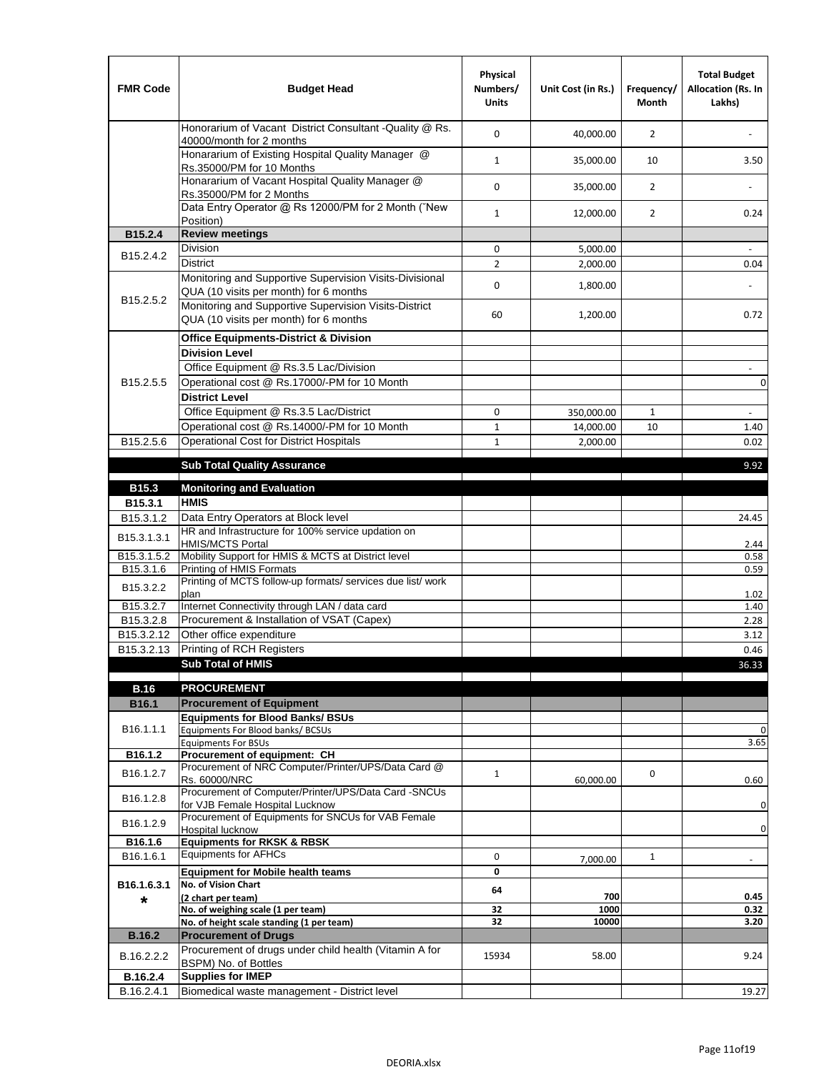| <b>FMR Code</b>        | <b>Budget Head</b>                                                                              | Physical<br>Numbers/<br><b>Units</b> | Unit Cost (in Rs.)   | Frequency/<br>Month | <b>Total Budget</b><br>Allocation (Rs. In<br>Lakhs) |
|------------------------|-------------------------------------------------------------------------------------------------|--------------------------------------|----------------------|---------------------|-----------------------------------------------------|
|                        | Honorarium of Vacant District Consultant - Quality @ Rs.<br>40000/month for 2 months            | 0                                    | 40,000.00            | 2                   |                                                     |
|                        | Honararium of Existing Hospital Quality Manager @<br>Rs.35000/PM for 10 Months                  | $\mathbf{1}$                         | 35,000.00            | 10                  | 3.50                                                |
|                        | Honararium of Vacant Hospital Quality Manager @<br>Rs.35000/PM for 2 Months                     | $\mathbf 0$                          | 35,000.00            | $\overline{2}$      |                                                     |
|                        | Data Entry Operator @ Rs 12000/PM for 2 Month ("New<br>Position)                                | $\mathbf{1}$                         | 12,000.00            | $\overline{2}$      | 0.24                                                |
| B15.2.4                | <b>Review meetings</b>                                                                          |                                      |                      |                     |                                                     |
| B15.2.4.2              | <b>Division</b>                                                                                 | 0                                    | 5,000.00             |                     | $\omega$                                            |
|                        | District<br>Monitoring and Supportive Supervision Visits-Divisional                             | $\overline{2}$<br>$\mathbf 0$        | 2,000.00<br>1,800.00 |                     | 0.04                                                |
| B <sub>15.2.5.2</sub>  | QUA (10 visits per month) for 6 months<br>Monitoring and Supportive Supervision Visits-District | 60                                   | 1,200.00             |                     | 0.72                                                |
|                        | QUA (10 visits per month) for 6 months                                                          |                                      |                      |                     |                                                     |
|                        | <b>Office Equipments-District &amp; Division</b>                                                |                                      |                      |                     |                                                     |
|                        | <b>Division Level</b><br>Office Equipment @ Rs.3.5 Lac/Division                                 |                                      |                      |                     |                                                     |
| B <sub>15.2.5.5</sub>  | Operational cost @ Rs.17000/-PM for 10 Month                                                    |                                      |                      |                     | $\overline{\phantom{a}}$<br>0                       |
|                        | <b>District Level</b>                                                                           |                                      |                      |                     |                                                     |
|                        | Office Equipment @ Rs.3.5 Lac/District                                                          | 0                                    | 350,000.00           | 1                   |                                                     |
|                        | Operational cost @ Rs.14000/-PM for 10 Month                                                    | $\mathbf{1}$                         | 14,000.00            | 10                  | 1.40                                                |
| B15.2.5.6              | <b>Operational Cost for District Hospitals</b>                                                  | $\mathbf 1$                          | 2,000.00             |                     | 0.02                                                |
|                        |                                                                                                 |                                      |                      |                     |                                                     |
|                        | <b>Sub Total Quality Assurance</b>                                                              |                                      |                      |                     | 9.92                                                |
| B15.3                  | <b>Monitoring and Evaluation</b>                                                                |                                      |                      |                     |                                                     |
| B15.3.1                | <b>HMIS</b>                                                                                     |                                      |                      |                     |                                                     |
| B <sub>15</sub> .3.1.2 | Data Entry Operators at Block level                                                             |                                      |                      |                     | 24.45                                               |
| B15.3.1.3.1            | HR and Infrastructure for 100% service updation on<br><b>HMIS/MCTS Portal</b>                   |                                      |                      |                     | 2.44                                                |
| B15.3.1.5.2            | Mobility Support for HMIS & MCTS at District level                                              |                                      |                      |                     | 0.58                                                |
| B15.3.1.6              | Printing of HMIS Formats                                                                        |                                      |                      |                     | 0.59                                                |
| B <sub>15.3.2.2</sub>  | Printing of MCTS follow-up formats/ services due list/ work<br>plan                             |                                      |                      |                     | 1.02                                                |
| B15.3.2.7              | Internet Connectivity through LAN / data card                                                   |                                      |                      |                     | 1.40                                                |
| B15.3.2.8              | Procurement & Installation of VSAT (Capex)                                                      |                                      |                      |                     | 2.28                                                |
| B15.3.2.12             | Other office expenditure                                                                        |                                      |                      |                     | 3.12                                                |
| B15.3.2.13             | Printing of RCH Registers                                                                       |                                      |                      |                     | 0.46                                                |
|                        | <b>Sub Total of HMIS</b>                                                                        |                                      |                      |                     | 36.33                                               |
| <b>B.16</b>            | <b>PROCUREMENT</b>                                                                              |                                      |                      |                     |                                                     |
| B16.1                  | <b>Procurement of Equipment</b>                                                                 |                                      |                      |                     |                                                     |
|                        | <b>Equipments for Blood Banks/ BSUs</b>                                                         |                                      |                      |                     |                                                     |
| B <sub>16.1.1.1</sub>  | Equipments For Blood banks/ BCSUs                                                               |                                      |                      |                     | 0                                                   |
| B16.1.2                | <b>Equipments For BSUs</b><br>Procurement of equipment: CH                                      |                                      |                      |                     | 3.65                                                |
| B16.1.2.7              | Procurement of NRC Computer/Printer/UPS/Data Card @                                             | $\mathbf{1}$                         |                      | 0                   |                                                     |
| B16.1.2.8              | Rs. 60000/NRC<br>Procurement of Computer/Printer/UPS/Data Card -SNCUs                           |                                      | 60,000.00            |                     | 0.60                                                |
| B <sub>16.1.2.9</sub>  | for VJB Female Hospital Lucknow<br>Procurement of Equipments for SNCUs for VAB Female           |                                      |                      |                     | 0                                                   |
| B16.1.6                | Hospital lucknow<br><b>Equipments for RKSK &amp; RBSK</b>                                       |                                      |                      |                     | $\pmb{0}$                                           |
| B16.1.6.1              | <b>Equipments for AFHCs</b>                                                                     | 0                                    |                      | $\mathbf{1}$        |                                                     |
|                        | <b>Equipment for Mobile health teams</b>                                                        | 0                                    | 7,000.00             |                     |                                                     |
| B16.1.6.3.1            | No. of Vision Chart                                                                             | 64                                   |                      |                     |                                                     |
| *                      | (2 chart per team)                                                                              |                                      | 700                  |                     | 0.45                                                |
|                        | No. of weighing scale (1 per team)<br>No. of height scale standing (1 per team)                 | 32<br>32                             | 1000<br>10000        |                     | 0.32<br>3.20                                        |
| <b>B.16.2</b>          | <b>Procurement of Drugs</b>                                                                     |                                      |                      |                     |                                                     |
| B.16.2.2.2             | Procurement of drugs under child health (Vitamin A for<br>BSPM) No. of Bottles                  | 15934                                | 58.00                |                     | 9.24                                                |
| B.16.2.4               | <b>Supplies for IMEP</b>                                                                        |                                      |                      |                     |                                                     |
| B.16.2.4.1             | Biomedical waste management - District level                                                    |                                      |                      |                     | 19.27                                               |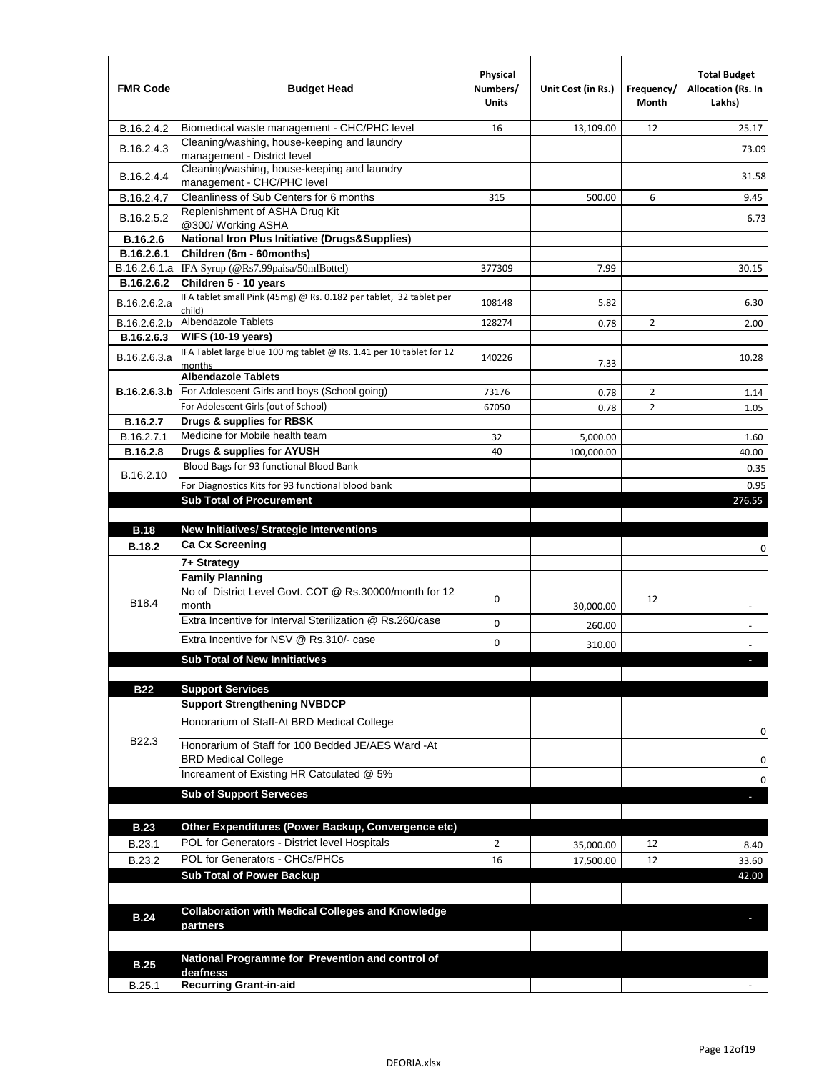| <b>FMR Code</b> | <b>Budget Head</b>                                                                               | Physical<br>Numbers/<br><b>Units</b> | Unit Cost (in Rs.) | Frequency/<br>Month | <b>Total Budget</b><br><b>Allocation (Rs. In</b><br>Lakhs) |
|-----------------|--------------------------------------------------------------------------------------------------|--------------------------------------|--------------------|---------------------|------------------------------------------------------------|
| B.16.2.4.2      | Biomedical waste management - CHC/PHC level                                                      | 16                                   | 13,109.00          | 12                  | 25.17                                                      |
| B.16.2.4.3      | Cleaning/washing, house-keeping and laundry<br>management - District level                       |                                      |                    |                     | 73.09                                                      |
| B.16.2.4.4      | Cleaning/washing, house-keeping and laundry<br>management - CHC/PHC level                        |                                      |                    |                     | 31.58                                                      |
| B.16.2.4.7      | Cleanliness of Sub Centers for 6 months                                                          | 315                                  | 500.00             | 6                   | 9.45                                                       |
| B.16.2.5.2      | Replenishment of ASHA Drug Kit<br>@300/ Working ASHA                                             |                                      |                    |                     | 6.73                                                       |
| B.16.2.6        | <b>National Iron Plus Initiative (Drugs&amp;Supplies)</b>                                        |                                      |                    |                     |                                                            |
| B.16.2.6.1      | Children (6m - 60months)                                                                         |                                      |                    |                     |                                                            |
|                 | B.16.2.6.1.a   IFA Syrup (@Rs7.99paisa/50mlBottel)                                               | 377309                               | 7.99               |                     | 30.15                                                      |
| B.16.2.6.2      | Children 5 - 10 years                                                                            |                                      |                    |                     |                                                            |
| B.16.2.6.2.a    | IFA tablet small Pink (45mg) @ Rs. 0.182 per tablet, 32 tablet per<br>child)                     | 108148                               | 5.82               |                     | 6.30                                                       |
| B.16.2.6.2.b    | <b>Albendazole Tablets</b>                                                                       | 128274                               | 0.78               | $\overline{2}$      | 2.00                                                       |
| B.16.2.6.3      | <b>WIFS (10-19 years)</b><br>IFA Tablet large blue 100 mg tablet @ Rs. 1.41 per 10 tablet for 12 |                                      |                    |                     |                                                            |
| B.16.2.6.3.a    | months                                                                                           | 140226                               | 7.33               |                     | 10.28                                                      |
|                 | <b>Albendazole Tablets</b>                                                                       |                                      |                    |                     |                                                            |
| B.16.2.6.3.b    | For Adolescent Girls and boys (School going)                                                     | 73176                                | 0.78               | 2                   | 1.14                                                       |
|                 | For Adolescent Girls (out of School)                                                             | 67050                                | 0.78               | $\overline{2}$      | 1.05                                                       |
| B.16.2.7        | Drugs & supplies for RBSK                                                                        |                                      |                    |                     |                                                            |
| B.16.2.7.1      | Medicine for Mobile health team                                                                  | 32                                   | 5,000.00           |                     | 1.60                                                       |
| B.16.2.8        | Drugs & supplies for AYUSH                                                                       | 40                                   | 100,000.00         |                     | 40.00                                                      |
| B.16.2.10       | Blood Bags for 93 functional Blood Bank                                                          |                                      |                    |                     | 0.35                                                       |
|                 | For Diagnostics Kits for 93 functional blood bank                                                |                                      |                    |                     | 0.95                                                       |
|                 | <b>Sub Total of Procurement</b>                                                                  |                                      |                    |                     | 276.55                                                     |
|                 |                                                                                                  |                                      |                    |                     |                                                            |
| <b>B.18</b>     | <b>New Initiatives/ Strategic Interventions</b>                                                  |                                      |                    |                     |                                                            |
| <b>B.18.2</b>   | Ca Cx Screening                                                                                  |                                      |                    |                     | 0                                                          |
|                 | 7+ Strategy                                                                                      |                                      |                    |                     |                                                            |
|                 | <b>Family Planning</b>                                                                           |                                      |                    |                     |                                                            |
| B18.4           | No of District Level Govt. COT @ Rs.30000/month for 12<br>month                                  | 0                                    | 30,000.00          | 12                  |                                                            |
|                 | Extra Incentive for Interval Sterilization @ Rs.260/case                                         | 0                                    | 260.00             |                     |                                                            |
|                 | Extra Incentive for NSV @ Rs.310/- case                                                          | 0                                    |                    |                     |                                                            |
|                 | <b>Sub Total of New Innitiatives</b>                                                             |                                      | 310.00             |                     |                                                            |
|                 |                                                                                                  |                                      |                    |                     |                                                            |
| <b>B22</b>      | <b>Support Services</b>                                                                          |                                      |                    |                     |                                                            |
|                 | <b>Support Strengthening NVBDCP</b>                                                              |                                      |                    |                     |                                                            |
|                 | Honorarium of Staff-At BRD Medical College                                                       |                                      |                    |                     |                                                            |
| B22.3           | Honorarium of Staff for 100 Bedded JE/AES Ward -At                                               |                                      |                    |                     | 0                                                          |
|                 | <b>BRD Medical College</b><br>Increament of Existing HR Catculated @ 5%                          |                                      |                    |                     | 0                                                          |
|                 |                                                                                                  |                                      |                    |                     | 0                                                          |
|                 | <b>Sub of Support Serveces</b>                                                                   |                                      |                    |                     |                                                            |
|                 |                                                                                                  |                                      |                    |                     |                                                            |
| <b>B.23</b>     | Other Expenditures (Power Backup, Convergence etc)                                               |                                      |                    |                     |                                                            |
| B.23.1          | POL for Generators - District level Hospitals                                                    | $\overline{2}$                       | 35,000.00          | 12                  | 8.40                                                       |
| B.23.2          | POL for Generators - CHCs/PHCs                                                                   | 16                                   | 17,500.00          | 12                  | 33.60                                                      |
|                 | <b>Sub Total of Power Backup</b>                                                                 |                                      |                    |                     | 42.00                                                      |
|                 |                                                                                                  |                                      |                    |                     |                                                            |
| <b>B.24</b>     | <b>Collaboration with Medical Colleges and Knowledge</b>                                         |                                      |                    |                     |                                                            |
|                 | partners                                                                                         |                                      |                    |                     |                                                            |
|                 |                                                                                                  |                                      |                    |                     |                                                            |
| <b>B.25</b>     | National Programme for Prevention and control of<br>deafness                                     |                                      |                    |                     |                                                            |
| B.25.1          | <b>Recurring Grant-in-aid</b>                                                                    |                                      |                    |                     |                                                            |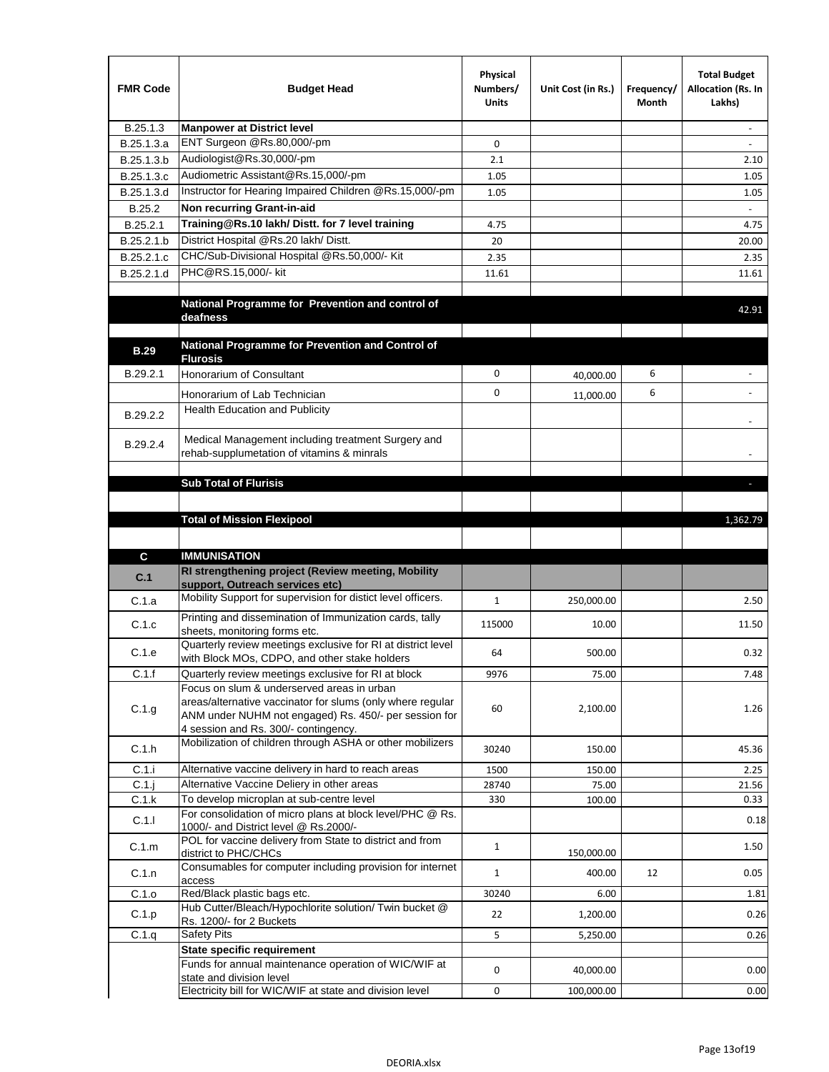| <b>FMR Code</b>   | <b>Budget Head</b>                                                                                                                                          | Physical<br>Numbers/<br><b>Units</b> | Unit Cost (in Rs.) | Frequency/<br>Month | <b>Total Budget</b><br>Allocation (Rs. In<br>Lakhs) |
|-------------------|-------------------------------------------------------------------------------------------------------------------------------------------------------------|--------------------------------------|--------------------|---------------------|-----------------------------------------------------|
| B.25.1.3          | <b>Manpower at District level</b>                                                                                                                           |                                      |                    |                     | $\overline{a}$                                      |
| B.25.1.3.a        | ENT Surgeon @Rs.80,000/-pm                                                                                                                                  | $\mathbf 0$                          |                    |                     |                                                     |
| B.25.1.3.b        | Audiologist@Rs.30,000/-pm                                                                                                                                   | 2.1                                  |                    |                     | 2.10                                                |
| B.25.1.3.c        | Audiometric Assistant@Rs.15,000/-pm                                                                                                                         | 1.05                                 |                    |                     | 1.05                                                |
| B.25.1.3.d        | Instructor for Hearing Impaired Children @Rs.15,000/-pm                                                                                                     | 1.05                                 |                    |                     | 1.05                                                |
| B.25.2            | Non recurring Grant-in-aid                                                                                                                                  |                                      |                    |                     |                                                     |
| B.25.2.1          | Training@Rs.10 lakh/ Distt. for 7 level training                                                                                                            | 4.75                                 |                    |                     | 4.75                                                |
| B.25.2.1.b        | District Hospital @Rs.20 lakh/Distt.                                                                                                                        | 20                                   |                    |                     | 20.00                                               |
| B.25.2.1.c        | CHC/Sub-Divisional Hospital @Rs.50,000/- Kit                                                                                                                | 2.35                                 |                    |                     | 2.35                                                |
| B.25.2.1.d        | PHC@RS.15,000/- kit                                                                                                                                         | 11.61                                |                    |                     | 11.61                                               |
|                   | National Programme for Prevention and control of<br>deafness                                                                                                |                                      |                    |                     | 42.91                                               |
| <b>B.29</b>       | National Programme for Prevention and Control of                                                                                                            |                                      |                    |                     |                                                     |
|                   | <b>Flurosis</b>                                                                                                                                             |                                      |                    |                     |                                                     |
| B.29.2.1          | Honorarium of Consultant                                                                                                                                    | 0                                    | 40,000.00          | 6                   |                                                     |
|                   | Honorarium of Lab Technician                                                                                                                                | 0                                    | 11,000.00          | 6                   |                                                     |
| B.29.2.2          | Health Education and Publicity                                                                                                                              |                                      |                    |                     |                                                     |
| B.29.2.4          | Medical Management including treatment Surgery and<br>rehab-supplumetation of vitamins & minrals                                                            |                                      |                    |                     |                                                     |
|                   | <b>Sub Total of Flurisis</b>                                                                                                                                |                                      |                    |                     | п                                                   |
|                   |                                                                                                                                                             |                                      |                    |                     |                                                     |
|                   |                                                                                                                                                             |                                      |                    |                     | 1,362.79                                            |
|                   | <b>Total of Mission Flexipool</b>                                                                                                                           |                                      |                    |                     |                                                     |
|                   |                                                                                                                                                             |                                      |                    |                     |                                                     |
| C                 | <b>IMMUNISATION</b><br>RI strengthening project (Review meeting, Mobility                                                                                   |                                      |                    |                     |                                                     |
| C.1               | support, Outreach services etc)                                                                                                                             |                                      |                    |                     |                                                     |
| C.1.a             | Mobility Support for supervision for distict level officers.                                                                                                | $\mathbf{1}$                         | 250,000.00         |                     | 2.50                                                |
| C.1.c             | Printing and dissemination of Immunization cards, tally<br>sheets, monitoring forms etc.                                                                    | 115000                               | 10.00              |                     | 11.50                                               |
| C.1.e             | Quarterly review meetings exclusive for RI at district level                                                                                                | 64                                   | 500.00             |                     | 0.32                                                |
| C.1.f             | with Block MOs, CDPO, and other stake holders<br>Quarterly review meetings exclusive for RI at block                                                        | 9976                                 | 75.00              |                     | 7.48                                                |
|                   | Focus on slum & underserved areas in urban                                                                                                                  |                                      |                    |                     |                                                     |
| C.1.g             | areas/alternative vaccinator for slums (only where regular<br>ANM under NUHM not engaged) Rs. 450/- per session for<br>4 session and Rs. 300/- contingency. | 60                                   | 2,100.00           |                     | 1.26                                                |
| C.1.h             | Mobilization of children through ASHA or other mobilizers                                                                                                   | 30240                                | 150.00             |                     | 45.36                                               |
| C.1.i             | Alternative vaccine delivery in hard to reach areas                                                                                                         | 1500                                 | 150.00             |                     | 2.25                                                |
| $C.1$ .j<br>C.1.k | Alternative Vaccine Deliery in other areas<br>To develop microplan at sub-centre level                                                                      | 28740<br>330                         | 75.00              |                     | 21.56<br>0.33                                       |
|                   | For consolidation of micro plans at block level/PHC @ Rs.                                                                                                   |                                      | 100.00             |                     |                                                     |
| C.1.1             | 1000/- and District level @ Rs.2000/-<br>POL for vaccine delivery from State to district and from                                                           | $\mathbf{1}$                         |                    |                     | 0.18                                                |
| C.1.m             | district to PHC/CHCs                                                                                                                                        |                                      | 150,000.00         |                     | 1.50                                                |
| C.1.n             | Consumables for computer including provision for internet<br>access                                                                                         | $\mathbf{1}$                         | 400.00             | 12                  | 0.05                                                |
| C.1.o             | Red/Black plastic bags etc.                                                                                                                                 | 30240                                | 6.00               |                     | 1.81                                                |
| C.1.p             | Hub Cutter/Bleach/Hypochlorite solution/ Twin bucket @<br>Rs. 1200/- for 2 Buckets                                                                          | 22                                   | 1,200.00           |                     | 0.26                                                |
| C.1.q             | Safety Pits                                                                                                                                                 | 5                                    | 5,250.00           |                     | 0.26                                                |
|                   | <b>State specific requirement</b>                                                                                                                           |                                      |                    |                     |                                                     |
|                   | Funds for annual maintenance operation of WIC/WIF at<br>state and division level                                                                            | 0                                    | 40,000.00          |                     | 0.00                                                |
|                   | Electricity bill for WIC/WIF at state and division level                                                                                                    | 0                                    | 100,000.00         |                     | 0.00                                                |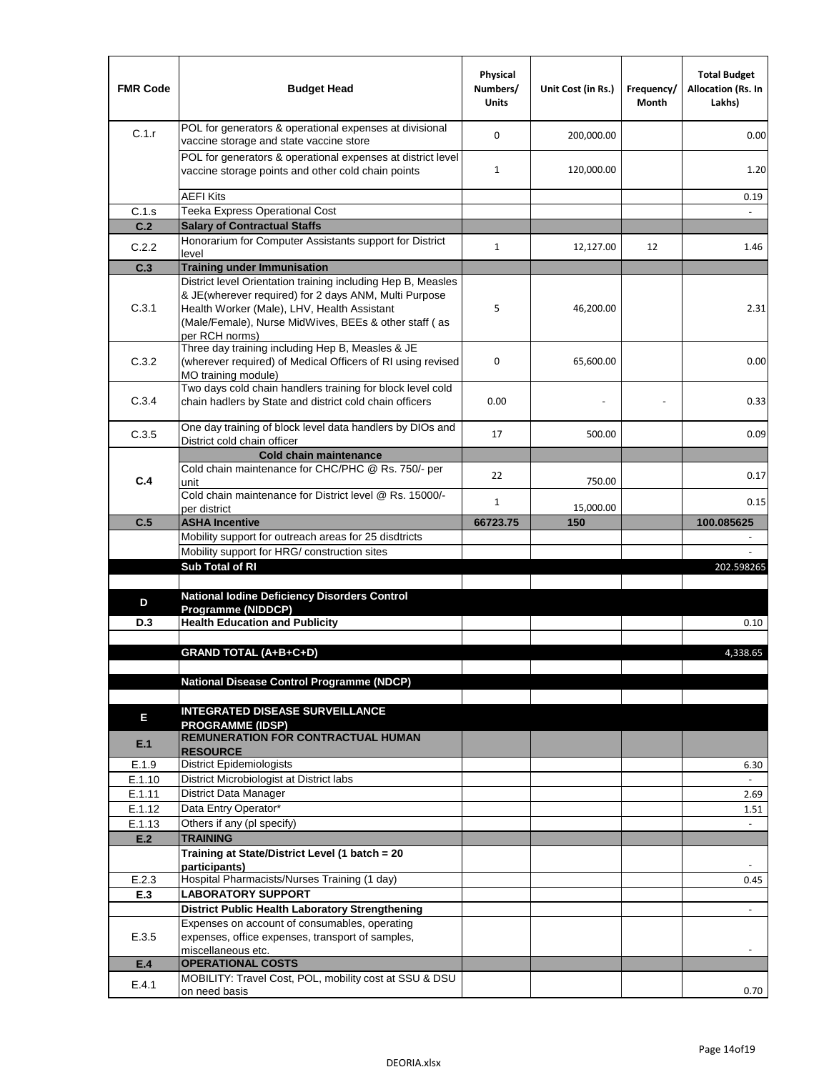| <b>FMR Code</b> | <b>Budget Head</b>                                                                                                                                                                                                                              | Physical<br>Numbers/<br><b>Units</b> | Unit Cost (in Rs.) | Frequency/<br><b>Month</b> | <b>Total Budget</b><br>Allocation (Rs. In<br>Lakhs) |
|-----------------|-------------------------------------------------------------------------------------------------------------------------------------------------------------------------------------------------------------------------------------------------|--------------------------------------|--------------------|----------------------------|-----------------------------------------------------|
| C.1.r           | POL for generators & operational expenses at divisional<br>vaccine storage and state vaccine store                                                                                                                                              | $\Omega$                             | 200,000.00         |                            | 0.00                                                |
|                 | POL for generators & operational expenses at district level<br>vaccine storage points and other cold chain points                                                                                                                               | $\mathbf{1}$                         | 120,000.00         |                            | 1.20                                                |
|                 | <b>AEFI Kits</b>                                                                                                                                                                                                                                |                                      |                    |                            | 0.19                                                |
| C.1.s           | Teeka Express Operational Cost                                                                                                                                                                                                                  |                                      |                    |                            |                                                     |
| C.2             | <b>Salary of Contractual Staffs</b>                                                                                                                                                                                                             |                                      |                    |                            |                                                     |
| C.2.2           | Honorarium for Computer Assistants support for District<br>level                                                                                                                                                                                | $\mathbf{1}$                         | 12,127.00          | 12                         | 1.46                                                |
| C.3             | <b>Training under Immunisation</b>                                                                                                                                                                                                              |                                      |                    |                            |                                                     |
| C.3.1           | District level Orientation training including Hep B, Measles<br>& JE(wherever required) for 2 days ANM, Multi Purpose<br>Health Worker (Male), LHV, Health Assistant<br>(Male/Female), Nurse MidWives, BEEs & other staff (as<br>per RCH norms) | 5                                    | 46,200.00          |                            | 2.31                                                |
| C.3.2           | Three day training including Hep B, Measles & JE<br>(wherever required) of Medical Officers of RI using revised<br>MO training module)                                                                                                          | 0                                    | 65,600.00          |                            | 0.00                                                |
| C.3.4           | Two days cold chain handlers training for block level cold<br>chain hadlers by State and district cold chain officers                                                                                                                           | 0.00                                 |                    |                            | 0.33                                                |
| C.3.5           | One day training of block level data handlers by DIOs and<br>District cold chain officer                                                                                                                                                        | 17                                   | 500.00             |                            | 0.09                                                |
|                 | <b>Cold chain maintenance</b>                                                                                                                                                                                                                   |                                      |                    |                            |                                                     |
| C.4             | Cold chain maintenance for CHC/PHC @ Rs. 750/- per<br>unit                                                                                                                                                                                      | 22                                   | 750.00             |                            | 0.17                                                |
|                 | Cold chain maintenance for District level @ Rs. 15000/-<br>per district                                                                                                                                                                         | $\mathbf{1}$                         | 15,000.00          |                            | 0.15                                                |
| C.5             | <b>ASHA Incentive</b>                                                                                                                                                                                                                           | 66723.75                             | 150                |                            | 100.085625                                          |
|                 | Mobility support for outreach areas for 25 disdtricts                                                                                                                                                                                           |                                      |                    |                            |                                                     |
|                 | Mobility support for HRG/ construction sites                                                                                                                                                                                                    |                                      |                    |                            |                                                     |
|                 | <b>Sub Total of RI</b>                                                                                                                                                                                                                          |                                      |                    |                            | 202.598265                                          |
|                 |                                                                                                                                                                                                                                                 |                                      |                    |                            |                                                     |
| D               | National Iodine Deficiency Disorders Control                                                                                                                                                                                                    |                                      |                    |                            |                                                     |
|                 | Programme (NIDDCP)<br><b>Health Education and Publicity</b>                                                                                                                                                                                     |                                      |                    |                            |                                                     |
| D.3             |                                                                                                                                                                                                                                                 |                                      |                    |                            | 0.10                                                |
|                 | <b>GRAND TOTAL (A+B+C+D)</b>                                                                                                                                                                                                                    |                                      |                    |                            | 4,338.65                                            |
|                 |                                                                                                                                                                                                                                                 |                                      |                    |                            |                                                     |
|                 | <b>National Disease Control Programme (NDCP)</b>                                                                                                                                                                                                |                                      |                    |                            |                                                     |
|                 |                                                                                                                                                                                                                                                 |                                      |                    |                            |                                                     |
| Ε               | <b>INTEGRATED DISEASE SURVEILLANCE</b><br><b>PROGRAMME (IDSP)</b>                                                                                                                                                                               |                                      |                    |                            |                                                     |
| E.1             | <b>REMUNERATION FOR CONTRACTUAL HUMAN</b><br><b>RESOURCE</b>                                                                                                                                                                                    |                                      |                    |                            |                                                     |
| E.1.9           | District Epidemiologists                                                                                                                                                                                                                        |                                      |                    |                            | 6.30                                                |
| E.1.10          | District Microbiologist at District labs                                                                                                                                                                                                        |                                      |                    |                            |                                                     |
| E.1.11          | District Data Manager                                                                                                                                                                                                                           |                                      |                    |                            | 2.69                                                |
| E.1.12          | Data Entry Operator*                                                                                                                                                                                                                            |                                      |                    |                            | 1.51                                                |
| E.1.13          | Others if any (pl specify)                                                                                                                                                                                                                      |                                      |                    |                            |                                                     |
| E.2             | <b>TRAINING</b>                                                                                                                                                                                                                                 |                                      |                    |                            |                                                     |
|                 | Training at State/District Level (1 batch = 20                                                                                                                                                                                                  |                                      |                    |                            |                                                     |
| E.2.3           | participants)<br>Hospital Pharmacists/Nurses Training (1 day)                                                                                                                                                                                   |                                      |                    |                            | 0.45                                                |
| E.3             | <b>LABORATORY SUPPORT</b>                                                                                                                                                                                                                       |                                      |                    |                            |                                                     |
|                 | <b>District Public Health Laboratory Strengthening</b>                                                                                                                                                                                          |                                      |                    |                            | $\blacksquare$                                      |
|                 | Expenses on account of consumables, operating                                                                                                                                                                                                   |                                      |                    |                            |                                                     |
| E.3.5           | expenses, office expenses, transport of samples,<br>miscellaneous etc.                                                                                                                                                                          |                                      |                    |                            |                                                     |
| E.4             | <b>OPERATIONAL COSTS</b>                                                                                                                                                                                                                        |                                      |                    |                            |                                                     |
| E.4.1           | MOBILITY: Travel Cost, POL, mobility cost at SSU & DSU<br>on need basis                                                                                                                                                                         |                                      |                    |                            | 0.70                                                |
|                 |                                                                                                                                                                                                                                                 |                                      |                    |                            |                                                     |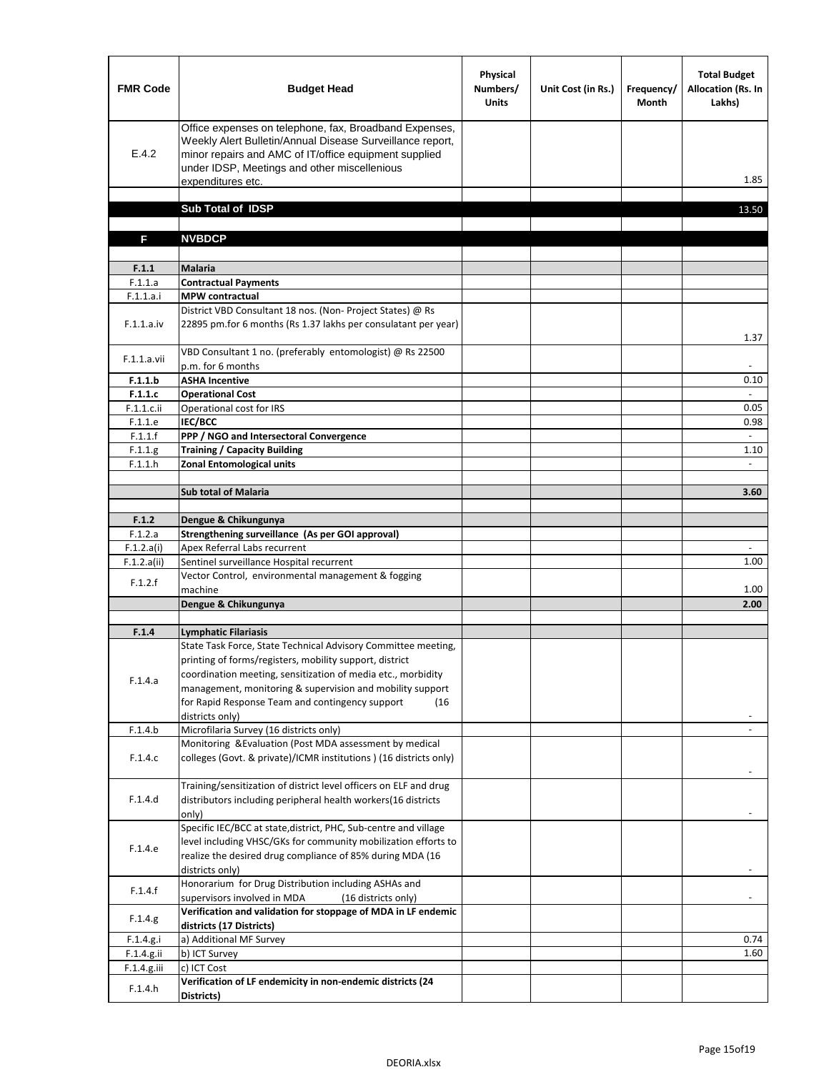| <b>FMR Code</b>           | <b>Budget Head</b>                                                                                                                                                                                                                                | Physical<br>Numbers/<br><b>Units</b> | Unit Cost (in Rs.) | Frequency/<br><b>Month</b> | <b>Total Budget</b><br>Allocation (Rs. In<br>Lakhs) |
|---------------------------|---------------------------------------------------------------------------------------------------------------------------------------------------------------------------------------------------------------------------------------------------|--------------------------------------|--------------------|----------------------------|-----------------------------------------------------|
| E.4.2                     | Office expenses on telephone, fax, Broadband Expenses,<br>Weekly Alert Bulletin/Annual Disease Surveillance report,<br>minor repairs and AMC of IT/office equipment supplied<br>under IDSP, Meetings and other miscellenious<br>expenditures etc. |                                      |                    |                            | 1.85                                                |
|                           | Sub Total of IDSP                                                                                                                                                                                                                                 |                                      |                    |                            | 13.50                                               |
|                           |                                                                                                                                                                                                                                                   |                                      |                    |                            |                                                     |
| F                         | <b>NVBDCP</b>                                                                                                                                                                                                                                     |                                      |                    |                            |                                                     |
|                           |                                                                                                                                                                                                                                                   |                                      |                    |                            |                                                     |
| F.1.1                     | Malaria                                                                                                                                                                                                                                           |                                      |                    |                            |                                                     |
| F.1.1.a<br>F.1.1.a.i      | <b>Contractual Payments</b><br><b>MPW</b> contractual                                                                                                                                                                                             |                                      |                    |                            |                                                     |
| F.1.1.a.iv                | District VBD Consultant 18 nos. (Non- Project States) @ Rs<br>22895 pm.for 6 months (Rs 1.37 lakhs per consulatant per year)                                                                                                                      |                                      |                    |                            | 1.37                                                |
| F.1.1.a.vii               | VBD Consultant 1 no. (preferably entomologist) @ Rs 22500<br>p.m. for 6 months                                                                                                                                                                    |                                      |                    |                            |                                                     |
| F.1.1.b                   | <b>ASHA Incentive</b>                                                                                                                                                                                                                             |                                      |                    |                            | 0.10                                                |
| F.1.1.c                   | <b>Operational Cost</b>                                                                                                                                                                                                                           |                                      |                    |                            | $\omega$                                            |
| F.1.1.c.ii                | Operational cost for IRS                                                                                                                                                                                                                          |                                      |                    |                            | 0.05                                                |
| F.1.1.e                   | IEC/BCC                                                                                                                                                                                                                                           |                                      |                    |                            | 0.98                                                |
| F.1.1.f                   | PPP / NGO and Intersectoral Convergence                                                                                                                                                                                                           |                                      |                    |                            |                                                     |
| F.1.1.g<br>F.1.1.h        | <b>Training / Capacity Building</b><br><b>Zonal Entomological units</b>                                                                                                                                                                           |                                      |                    |                            | 1.10                                                |
|                           |                                                                                                                                                                                                                                                   |                                      |                    |                            |                                                     |
|                           | <b>Sub total of Malaria</b>                                                                                                                                                                                                                       |                                      |                    |                            | 3.60                                                |
|                           |                                                                                                                                                                                                                                                   |                                      |                    |                            |                                                     |
| F.1.2                     | Dengue & Chikungunya                                                                                                                                                                                                                              |                                      |                    |                            |                                                     |
| F.1.2.a                   | Strengthening surveillance (As per GOI approval)                                                                                                                                                                                                  |                                      |                    |                            |                                                     |
| F.1.2.a(i)<br>F.1.2.a(ii) | Apex Referral Labs recurrent<br>Sentinel surveillance Hospital recurrent                                                                                                                                                                          |                                      |                    |                            | $\overline{\phantom{a}}$<br>1.00                    |
|                           | Vector Control, environmental management & fogging                                                                                                                                                                                                |                                      |                    |                            |                                                     |
| F.1.2.f                   | machine                                                                                                                                                                                                                                           |                                      |                    |                            | 1.00                                                |
|                           | Dengue & Chikungunya                                                                                                                                                                                                                              |                                      |                    |                            | 2.00                                                |
|                           |                                                                                                                                                                                                                                                   |                                      |                    |                            |                                                     |
| F.1.4                     | <b>Lymphatic Filariasis</b>                                                                                                                                                                                                                       |                                      |                    |                            |                                                     |
|                           | State Task Force, State Technical Advisory Committee meeting,<br>printing of forms/registers, mobility support, district                                                                                                                          |                                      |                    |                            |                                                     |
|                           | coordination meeting, sensitization of media etc., morbidity                                                                                                                                                                                      |                                      |                    |                            |                                                     |
| F.1.4.a                   | management, monitoring & supervision and mobility support                                                                                                                                                                                         |                                      |                    |                            |                                                     |
|                           | for Rapid Response Team and contingency support<br>(16)                                                                                                                                                                                           |                                      |                    |                            |                                                     |
|                           | districts only)                                                                                                                                                                                                                                   |                                      |                    |                            |                                                     |
| F.1.4.b                   | Microfilaria Survey (16 districts only)                                                                                                                                                                                                           |                                      |                    |                            |                                                     |
|                           | Monitoring & Evaluation (Post MDA assessment by medical                                                                                                                                                                                           |                                      |                    |                            |                                                     |
| F.1.4.c                   | colleges (Govt. & private)/ICMR institutions ) (16 districts only)                                                                                                                                                                                |                                      |                    |                            |                                                     |
|                           | Training/sensitization of district level officers on ELF and drug                                                                                                                                                                                 |                                      |                    |                            |                                                     |
| F.1.4.d                   | distributors including peripheral health workers(16 districts                                                                                                                                                                                     |                                      |                    |                            |                                                     |
|                           | only)                                                                                                                                                                                                                                             |                                      |                    |                            |                                                     |
|                           | Specific IEC/BCC at state, district, PHC, Sub-centre and village                                                                                                                                                                                  |                                      |                    |                            |                                                     |
| F.1.4.e                   | level including VHSC/GKs for community mobilization efforts to                                                                                                                                                                                    |                                      |                    |                            |                                                     |
|                           | realize the desired drug compliance of 85% during MDA (16                                                                                                                                                                                         |                                      |                    |                            |                                                     |
|                           | districts only)                                                                                                                                                                                                                                   |                                      |                    |                            |                                                     |
| F.1.4.f                   | Honorarium for Drug Distribution including ASHAs and                                                                                                                                                                                              |                                      |                    |                            |                                                     |
|                           | supervisors involved in MDA<br>(16 districts only)                                                                                                                                                                                                |                                      |                    |                            |                                                     |
| F.1.4.g                   | Verification and validation for stoppage of MDA in LF endemic                                                                                                                                                                                     |                                      |                    |                            |                                                     |
| F.1.4.g.i                 | districts (17 Districts)<br>a) Additional MF Survey                                                                                                                                                                                               |                                      |                    |                            | 0.74                                                |
| F.1.4.g.ii                | b) ICT Survey                                                                                                                                                                                                                                     |                                      |                    |                            | 1.60                                                |
| F.1.4.g.iii               | c) ICT Cost                                                                                                                                                                                                                                       |                                      |                    |                            |                                                     |
|                           | Verification of LF endemicity in non-endemic districts (24                                                                                                                                                                                        |                                      |                    |                            |                                                     |
| F.1.4.h                   | Districts)                                                                                                                                                                                                                                        |                                      |                    |                            |                                                     |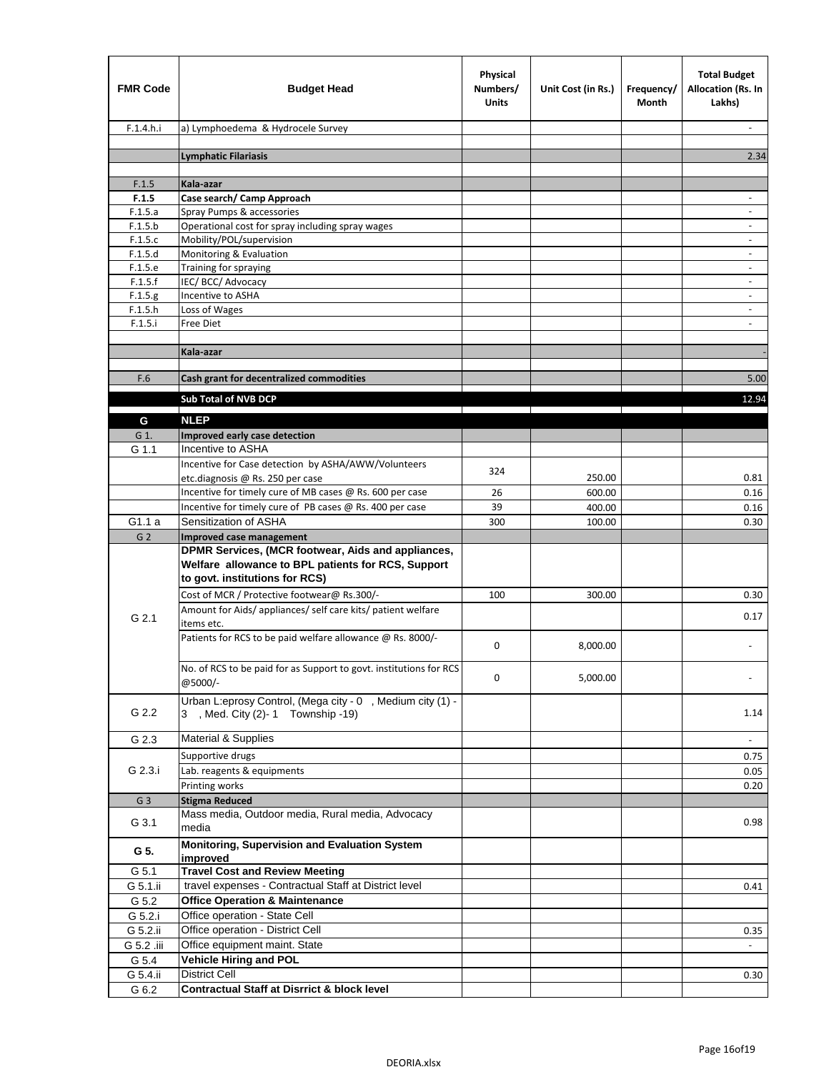| <b>FMR Code</b>  | <b>Budget Head</b>                                                                                                                         | Physical<br>Numbers/<br><b>Units</b> | Unit Cost (in Rs.) | Frequency/<br>Month | <b>Total Budget</b><br>Allocation (Rs. In<br>Lakhs) |
|------------------|--------------------------------------------------------------------------------------------------------------------------------------------|--------------------------------------|--------------------|---------------------|-----------------------------------------------------|
| F.1.4.h.i        | a) Lymphoedema & Hydrocele Survey                                                                                                          |                                      |                    |                     |                                                     |
|                  | <b>Lymphatic Filariasis</b>                                                                                                                |                                      |                    |                     | 2.34                                                |
|                  |                                                                                                                                            |                                      |                    |                     |                                                     |
| F.1.5            | Kala-azar<br>Case search/ Camp Approach                                                                                                    |                                      |                    |                     | $\blacksquare$                                      |
| F.1.5<br>F.1.5.a | Spray Pumps & accessories                                                                                                                  |                                      |                    |                     |                                                     |
| F.1.5.b          | Operational cost for spray including spray wages                                                                                           |                                      |                    |                     |                                                     |
| F.1.5.c          | Mobility/POL/supervision                                                                                                                   |                                      |                    |                     | $\sim$                                              |
| F.1.5.d          | Monitoring & Evaluation                                                                                                                    |                                      |                    |                     | $\sim$                                              |
| F.1.5.e          | Training for spraying                                                                                                                      |                                      |                    |                     | $\overline{\phantom{a}}$                            |
| F.1.5.f          | IEC/BCC/Advocacy                                                                                                                           |                                      |                    |                     |                                                     |
| F.1.5.g          | Incentive to ASHA                                                                                                                          |                                      |                    |                     | $\overline{\phantom{a}}$                            |
| F.1.5.h          | Loss of Wages                                                                                                                              |                                      |                    |                     |                                                     |
| F.1.5.i          | Free Diet                                                                                                                                  |                                      |                    |                     |                                                     |
|                  | Kala-azar                                                                                                                                  |                                      |                    |                     |                                                     |
|                  |                                                                                                                                            |                                      |                    |                     |                                                     |
| F.6              | Cash grant for decentralized commodities                                                                                                   |                                      |                    |                     | 5.00                                                |
|                  | Sub Total of NVB DCP                                                                                                                       |                                      |                    |                     | 12.94                                               |
| G                | <b>NLEP</b>                                                                                                                                |                                      |                    |                     |                                                     |
| G 1.             | Improved early case detection                                                                                                              |                                      |                    |                     |                                                     |
| G 1.1            | Incentive to ASHA                                                                                                                          |                                      |                    |                     |                                                     |
|                  | Incentive for Case detection by ASHA/AWW/Volunteers                                                                                        |                                      |                    |                     |                                                     |
|                  | etc.diagnosis @ Rs. 250 per case                                                                                                           | 324                                  | 250.00             |                     | 0.81                                                |
|                  | Incentive for timely cure of MB cases @ Rs. 600 per case                                                                                   | 26                                   | 600.00             |                     | 0.16                                                |
|                  | Incentive for timely cure of PB cases @ Rs. 400 per case                                                                                   | 39                                   | 400.00             |                     | 0.16                                                |
| G1.1a            | Sensitization of ASHA                                                                                                                      | 300                                  | 100.00             |                     | 0.30                                                |
| G <sub>2</sub>   | <b>Improved case management</b>                                                                                                            |                                      |                    |                     |                                                     |
|                  | DPMR Services, (MCR footwear, Aids and appliances,<br>Welfare allowance to BPL patients for RCS, Support<br>to govt. institutions for RCS) |                                      |                    |                     |                                                     |
|                  | Cost of MCR / Protective footwear@ Rs.300/-                                                                                                | 100                                  | 300.00             |                     | 0.30                                                |
|                  | Amount for Aids/ appliances/ self care kits/ patient welfare                                                                               |                                      |                    |                     |                                                     |
| G 2.1            | items etc.                                                                                                                                 |                                      |                    |                     | 0.17                                                |
|                  | Patients for RCS to be paid welfare allowance @ Rs. 8000/-                                                                                 | $\mathbf 0$                          | 8,000.00           |                     |                                                     |
|                  | No. of RCS to be paid for as Support to govt. institutions for RCS<br>@5000/-                                                              | 0                                    | 5,000.00           |                     | $\blacksquare$                                      |
| G 2.2            | Urban L:eprosy Control, (Mega city - 0, Medium city (1) -<br>3 , Med. City (2)-1 Township -19)                                             |                                      |                    |                     | 1.14                                                |
| G 2.3            | <b>Material &amp; Supplies</b>                                                                                                             |                                      |                    |                     | $\blacksquare$                                      |
|                  | Supportive drugs                                                                                                                           |                                      |                    |                     | 0.75                                                |
| G 2.3.i          | Lab. reagents & equipments                                                                                                                 |                                      |                    |                     | 0.05                                                |
|                  | Printing works                                                                                                                             |                                      |                    |                     | 0.20                                                |
| G <sub>3</sub>   | <b>Stigma Reduced</b>                                                                                                                      |                                      |                    |                     |                                                     |
| G 3.1            | Mass media, Outdoor media, Rural media, Advocacy<br>media                                                                                  |                                      |                    |                     | 0.98                                                |
| G 5.             | Monitoring, Supervision and Evaluation System<br>improved                                                                                  |                                      |                    |                     |                                                     |
| G 5.1            | <b>Travel Cost and Review Meeting</b>                                                                                                      |                                      |                    |                     |                                                     |
| G 5.1.ii         | travel expenses - Contractual Staff at District level                                                                                      |                                      |                    |                     | 0.41                                                |
| G 5.2            | <b>Office Operation &amp; Maintenance</b>                                                                                                  |                                      |                    |                     |                                                     |
| G 5.2.i          | Office operation - State Cell                                                                                                              |                                      |                    |                     |                                                     |
| G 5.2.ii         | Office operation - District Cell                                                                                                           |                                      |                    |                     | 0.35                                                |
| G 5.2 .iii       | Office equipment maint. State                                                                                                              |                                      |                    |                     |                                                     |
| G 5.4            | <b>Vehicle Hiring and POL</b>                                                                                                              |                                      |                    |                     |                                                     |
| G 5.4.ii         | District Cell                                                                                                                              |                                      |                    |                     | 0.30                                                |
| G 6.2            | <b>Contractual Staff at Disrrict &amp; block level</b>                                                                                     |                                      |                    |                     |                                                     |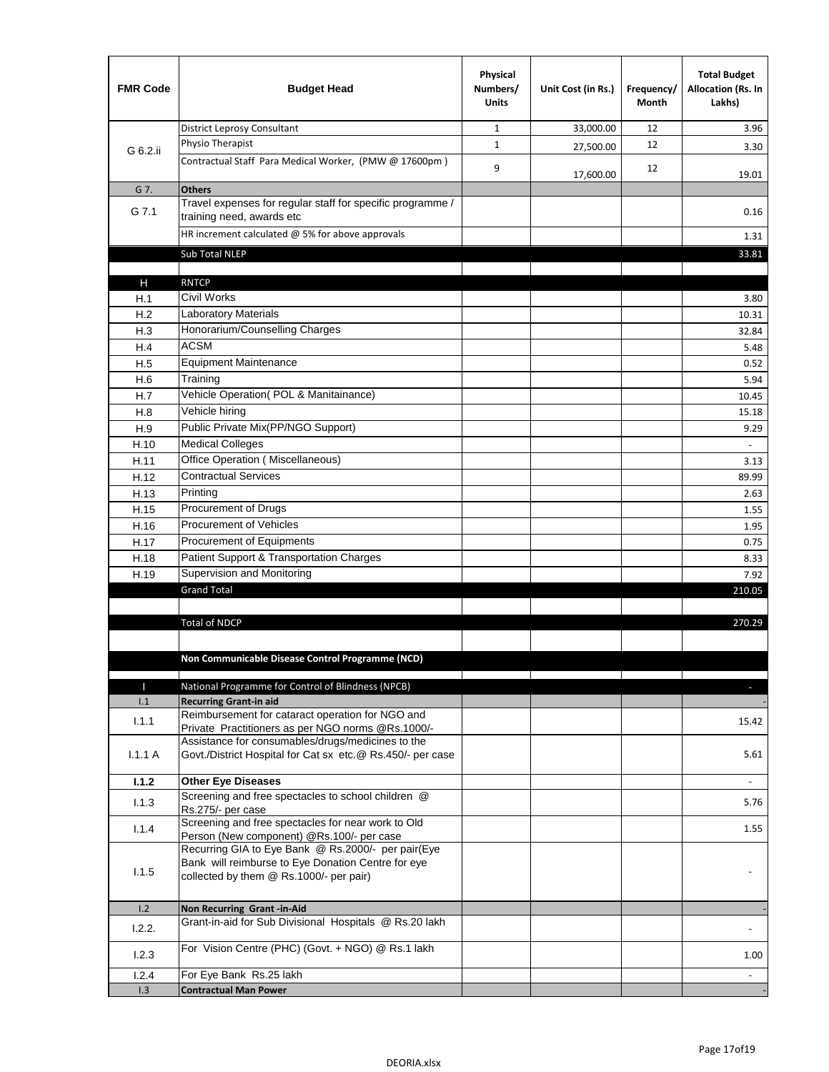| <b>FMR Code</b> | <b>Budget Head</b>                                                                                                                                  | Physical<br>Numbers/<br><b>Units</b> | Unit Cost (in Rs.) | Frequency/<br><b>Month</b> | <b>Total Budget</b><br><b>Allocation (Rs. In</b><br>Lakhs) |
|-----------------|-----------------------------------------------------------------------------------------------------------------------------------------------------|--------------------------------------|--------------------|----------------------------|------------------------------------------------------------|
|                 | <b>District Leprosy Consultant</b>                                                                                                                  | 1                                    | 33,000.00          | 12                         | 3.96                                                       |
| G 6.2.ii        | Physio Therapist                                                                                                                                    | $\mathbf{1}$                         | 27,500.00          | 12                         | 3.30                                                       |
|                 | Contractual Staff Para Medical Worker, (PMW @ 17600pm)                                                                                              | 9                                    | 17,600.00          | 12                         | 19.01                                                      |
| G 7.            | <b>Others</b>                                                                                                                                       |                                      |                    |                            |                                                            |
| G 7.1           | Travel expenses for regular staff for specific programme /<br>training need, awards etc                                                             |                                      |                    |                            | 0.16                                                       |
|                 | HR increment calculated $@$ 5% for above approvals                                                                                                  |                                      |                    |                            | 1.31                                                       |
|                 | Sub Total NLEP                                                                                                                                      |                                      |                    |                            | 33.81                                                      |
|                 |                                                                                                                                                     |                                      |                    |                            |                                                            |
| Н               | <b>RNTCP</b>                                                                                                                                        |                                      |                    |                            |                                                            |
| H.1             | <b>Civil Works</b>                                                                                                                                  |                                      |                    |                            | 3.80                                                       |
| H.2             | Laboratory Materials                                                                                                                                |                                      |                    |                            | 10.31                                                      |
| H.3             | Honorarium/Counselling Charges                                                                                                                      |                                      |                    |                            | 32.84                                                      |
| H.4             | <b>ACSM</b>                                                                                                                                         |                                      |                    |                            | 5.48                                                       |
| H.5             | <b>Equipment Maintenance</b>                                                                                                                        |                                      |                    |                            | 0.52                                                       |
| H.6             | Training                                                                                                                                            |                                      |                    |                            | 5.94                                                       |
| H.7             | Vehicle Operation(POL & Manitainance)                                                                                                               |                                      |                    |                            | 10.45                                                      |
| H.8             | Vehicle hiring                                                                                                                                      |                                      |                    |                            | 15.18                                                      |
| H.9             | Public Private Mix(PP/NGO Support)                                                                                                                  |                                      |                    |                            | 9.29                                                       |
| H.10            | <b>Medical Colleges</b>                                                                                                                             |                                      |                    |                            |                                                            |
| H.11            | Office Operation (Miscellaneous)<br><b>Contractual Services</b>                                                                                     |                                      |                    |                            | 3.13                                                       |
| H.12            | Printing                                                                                                                                            |                                      |                    |                            | 89.99                                                      |
| H.13            | Procurement of Drugs                                                                                                                                |                                      |                    |                            | 2.63                                                       |
| H.15            | <b>Procurement of Vehicles</b>                                                                                                                      |                                      |                    |                            | 1.55                                                       |
| H.16            | Procurement of Equipments                                                                                                                           |                                      |                    |                            | 1.95                                                       |
| H.17            | Patient Support & Transportation Charges                                                                                                            |                                      |                    |                            | 0.75                                                       |
| H.18<br>H.19    | Supervision and Monitoring                                                                                                                          |                                      |                    |                            | 8.33<br>7.92                                               |
|                 | <b>Grand Total</b>                                                                                                                                  |                                      |                    |                            | 210.05                                                     |
|                 |                                                                                                                                                     |                                      |                    |                            |                                                            |
|                 | <b>Total of NDCP</b>                                                                                                                                |                                      |                    |                            | 270.29                                                     |
|                 |                                                                                                                                                     |                                      |                    |                            |                                                            |
|                 | Non Communicable Disease Control Programme (NCD)                                                                                                    |                                      |                    |                            |                                                            |
| П               | $\mathbf{I}$<br>National Programme for Control of Blindness (NPCB)                                                                                  |                                      |                    |                            |                                                            |
| 1.1             | <b>Recurring Grant-in aid</b>                                                                                                                       |                                      |                    |                            |                                                            |
| 1.1.1           | Reimbursement for cataract operation for NGO and                                                                                                    |                                      |                    |                            | 15.42                                                      |
|                 | Private Practitioners as per NGO norms @Rs.1000/-                                                                                                   |                                      |                    |                            |                                                            |
| 1.1.1A          | Assistance for consumables/drugs/medicines to the<br>Govt./District Hospital for Cat sx etc.@ Rs.450/- per case                                     |                                      |                    |                            | 5.61                                                       |
| 1.1.2           | <b>Other Eye Diseases</b>                                                                                                                           |                                      |                    |                            |                                                            |
| 1.1.3           | Screening and free spectacles to school children @<br>Rs.275/- per case                                                                             |                                      |                    |                            | 5.76                                                       |
|                 | Screening and free spectacles for near work to Old                                                                                                  |                                      |                    |                            |                                                            |
| 1.1.4           | Person (New component) @Rs.100/- per case                                                                                                           |                                      |                    |                            | 1.55                                                       |
| 1.1.5           | Recurring GIA to Eye Bank @ Rs.2000/- per pair(Eye<br>Bank will reimburse to Eye Donation Centre for eye<br>collected by them @ Rs.1000/- per pair) |                                      |                    |                            |                                                            |
| 1.2             | Non Recurring Grant-in-Aid                                                                                                                          |                                      |                    |                            |                                                            |
| 1.2.2.          | Grant-in-aid for Sub Divisional Hospitals @ Rs.20 lakh                                                                                              |                                      |                    |                            |                                                            |
| 1.2.3           | For Vision Centre (PHC) (Govt. + NGO) @ Rs.1 lakh                                                                                                   |                                      |                    |                            | 1.00                                                       |
| 1.2.4           | For Eye Bank Rs.25 lakh                                                                                                                             |                                      |                    |                            |                                                            |
| 1.3             | <b>Contractual Man Power</b>                                                                                                                        |                                      |                    |                            |                                                            |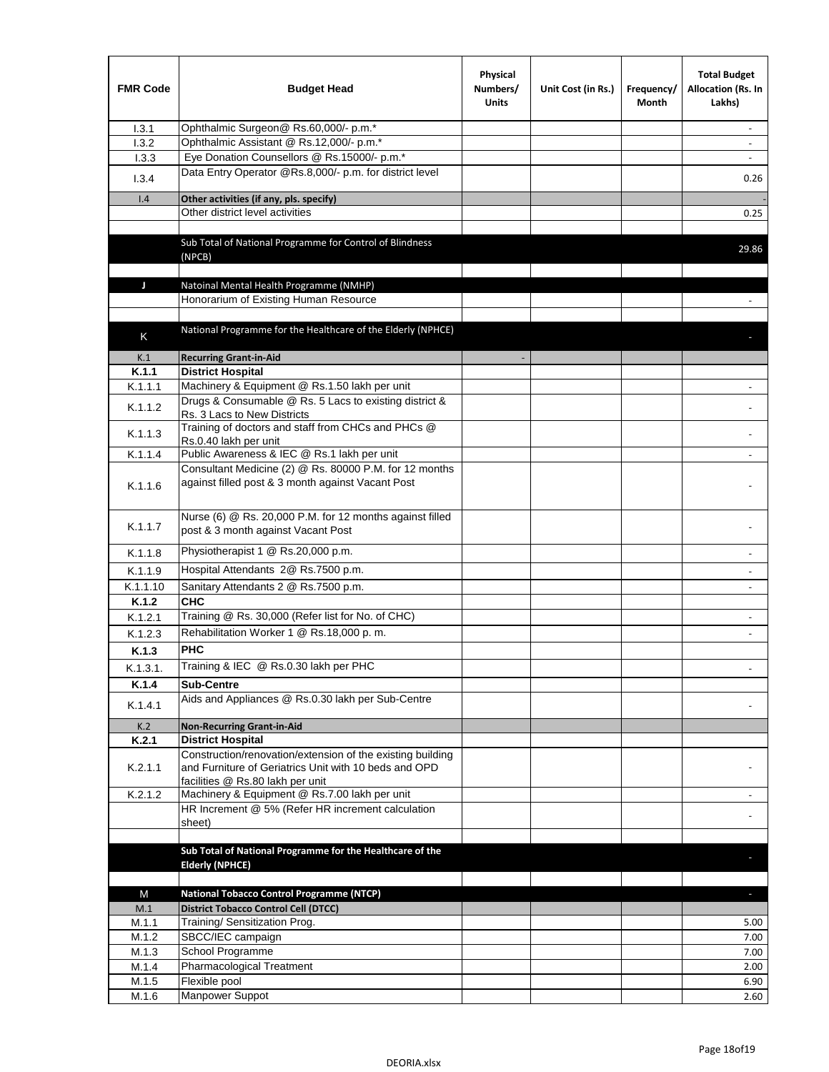| <b>FMR Code</b> | <b>Budget Head</b>                                                                                                                                      | Physical<br>Numbers/<br><b>Units</b> | Unit Cost (in Rs.) | Frequency/<br>Month | <b>Total Budget</b><br>Allocation (Rs. In<br>Lakhs) |
|-----------------|---------------------------------------------------------------------------------------------------------------------------------------------------------|--------------------------------------|--------------------|---------------------|-----------------------------------------------------|
| 1.3.1           | Ophthalmic Surgeon@ Rs.60,000/- p.m.*                                                                                                                   |                                      |                    |                     |                                                     |
| 1.3.2           | Ophthalmic Assistant @ Rs.12,000/- p.m.*                                                                                                                |                                      |                    |                     |                                                     |
| 1.3.3           | Eye Donation Counsellors @ Rs.15000/- p.m.*                                                                                                             |                                      |                    |                     | $\overline{\phantom{a}}$                            |
| 1.3.4           | Data Entry Operator @Rs.8,000/- p.m. for district level                                                                                                 |                                      |                    |                     | 0.26                                                |
| 1.4             | Other activities (if any, pls. specify)                                                                                                                 |                                      |                    |                     |                                                     |
|                 | Other district level activities                                                                                                                         |                                      |                    |                     | 0.25                                                |
|                 | Sub Total of National Programme for Control of Blindness                                                                                                |                                      |                    |                     | 29.86                                               |
|                 | (NPCB)                                                                                                                                                  |                                      |                    |                     |                                                     |
| J               | Natoinal Mental Health Programme (NMHP)                                                                                                                 |                                      |                    |                     |                                                     |
|                 | Honorarium of Existing Human Resource                                                                                                                   |                                      |                    |                     |                                                     |
|                 |                                                                                                                                                         |                                      |                    |                     |                                                     |
| K               | National Programme for the Healthcare of the Elderly (NPHCE)                                                                                            |                                      |                    |                     |                                                     |
| K.1             | <b>Recurring Grant-in-Aid</b>                                                                                                                           |                                      |                    |                     |                                                     |
| K.1.1           | <b>District Hospital</b>                                                                                                                                |                                      |                    |                     |                                                     |
| K.1.1.1         | Machinery & Equipment @ Rs.1.50 lakh per unit                                                                                                           |                                      |                    |                     |                                                     |
| K.1.1.2         | Drugs & Consumable @ Rs. 5 Lacs to existing district &<br>Rs. 3 Lacs to New Districts                                                                   |                                      |                    |                     |                                                     |
| K.1.1.3         | Training of doctors and staff from CHCs and PHCs @<br>Rs.0.40 lakh per unit                                                                             |                                      |                    |                     |                                                     |
| K.1.1.4         | Public Awareness & IEC @ Rs.1 lakh per unit                                                                                                             |                                      |                    |                     |                                                     |
| K.1.1.6         | Consultant Medicine (2) @ Rs. 80000 P.M. for 12 months<br>against filled post & 3 month against Vacant Post                                             |                                      |                    |                     |                                                     |
| K.1.1.7         | Nurse (6) @ Rs. 20,000 P.M. for 12 months against filled<br>post & 3 month against Vacant Post                                                          |                                      |                    |                     |                                                     |
| K.1.1.8         | Physiotherapist 1 @ Rs.20,000 p.m.                                                                                                                      |                                      |                    |                     |                                                     |
| K.1.1.9         | Hospital Attendants 2@ Rs.7500 p.m.                                                                                                                     |                                      |                    |                     |                                                     |
| K.1.1.10        | Sanitary Attendants 2 @ Rs.7500 p.m.                                                                                                                    |                                      |                    |                     |                                                     |
| K.1.2           | снс                                                                                                                                                     |                                      |                    |                     |                                                     |
| K.1.2.1         | Training @ Rs. 30,000 (Refer list for No. of CHC)                                                                                                       |                                      |                    |                     |                                                     |
| K.1.2.3         | Rehabilitation Worker 1 @ Rs.18,000 p.m.                                                                                                                |                                      |                    |                     |                                                     |
| K.1.3           | PHC                                                                                                                                                     |                                      |                    |                     |                                                     |
| K.1.3.1.        | Training & IEC @ Rs.0.30 lakh per PHC                                                                                                                   |                                      |                    |                     |                                                     |
| K.1.4           | <b>Sub-Centre</b>                                                                                                                                       |                                      |                    |                     |                                                     |
| K.1.4.1         | Aids and Appliances @ Rs.0.30 lakh per Sub-Centre                                                                                                       |                                      |                    |                     |                                                     |
| K.2             | <b>Non-Recurring Grant-in-Aid</b>                                                                                                                       |                                      |                    |                     |                                                     |
| K.2.1           | <b>District Hospital</b>                                                                                                                                |                                      |                    |                     |                                                     |
| K.2.1.1         | Construction/renovation/extension of the existing building<br>and Furniture of Geriatrics Unit with 10 beds and OPD<br>facilities @ Rs.80 lakh per unit |                                      |                    |                     |                                                     |
| K.2.1.2         | Machinery & Equipment @ Rs.7.00 lakh per unit                                                                                                           |                                      |                    |                     |                                                     |
|                 | HR Increment @ 5% (Refer HR increment calculation<br>sheet)                                                                                             |                                      |                    |                     | $\sim$                                              |
|                 |                                                                                                                                                         |                                      |                    |                     |                                                     |
|                 | Sub Total of National Programme for the Healthcare of the<br><b>Elderly (NPHCE)</b>                                                                     |                                      |                    |                     |                                                     |
|                 |                                                                                                                                                         |                                      |                    |                     |                                                     |
| M               | <b>National Tobacco Control Programme (NTCP)</b>                                                                                                        |                                      |                    |                     |                                                     |
| M.1             | <b>District Tobacco Control Cell (DTCC)</b>                                                                                                             |                                      |                    |                     |                                                     |
| M.1.1           | Training/ Sensitization Prog.                                                                                                                           |                                      |                    |                     | 5.00                                                |
| M.1.2           | SBCC/IEC campaign                                                                                                                                       |                                      |                    |                     | 7.00                                                |
| M.1.3           | School Programme                                                                                                                                        |                                      |                    |                     | 7.00                                                |
| M.1.4<br>M.1.5  | Pharmacological Treatment<br>Flexible pool                                                                                                              |                                      |                    |                     | 2.00<br>6.90                                        |
| M.1.6           | Manpower Suppot                                                                                                                                         |                                      |                    |                     | 2.60                                                |
|                 |                                                                                                                                                         |                                      |                    |                     |                                                     |